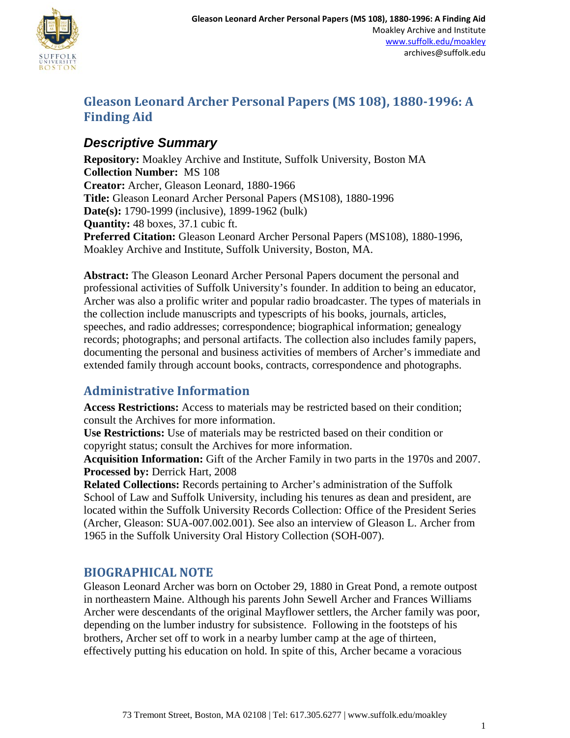

## **Gleason Leonard Archer Personal Papers (MS 108), 1880-1996: A Finding Aid**

## *Descriptive Summary*

**Repository:** Moakley Archive and Institute, Suffolk University, Boston MA **Collection Number:** MS 108 **Creator:** Archer, Gleason Leonard, 1880-1966 **Title:** Gleason Leonard Archer Personal Papers (MS108), 1880-1996 **Date(s):** 1790-1999 (inclusive), 1899-1962 (bulk) **Quantity:** 48 boxes, 37.1 cubic ft. **Preferred Citation:** Gleason Leonard Archer Personal Papers (MS108), 1880-1996, Moakley Archive and Institute, Suffolk University, Boston, MA.

**Abstract:** The Gleason Leonard Archer Personal Papers document the personal and professional activities of Suffolk University's founder. In addition to being an educator, Archer was also a prolific writer and popular radio broadcaster. The types of materials in the collection include manuscripts and typescripts of his books, journals, articles, speeches, and radio addresses; correspondence; biographical information; genealogy records; photographs; and personal artifacts. The collection also includes family papers, documenting the personal and business activities of members of Archer's immediate and extended family through account books, contracts, correspondence and photographs.

## **Administrative Information**

**Access Restrictions:** Access to materials may be restricted based on their condition; consult the Archives for more information.

**Use Restrictions:** Use of materials may be restricted based on their condition or copyright status; consult the Archives for more information.

**Acquisition Information:** Gift of the Archer Family in two parts in the 1970s and 2007. **Processed by:** Derrick Hart, 2008

**Related Collections:** Records pertaining to Archer's administration of the Suffolk School of Law and Suffolk University, including his tenures as dean and president, are located within the Suffolk University Records Collection: Office of the President Series (Archer, Gleason: SUA-007.002.001). See also an interview of Gleason L. Archer from 1965 in the Suffolk University Oral History Collection (SOH-007).

### **BIOGRAPHICAL NOTE**

Gleason Leonard Archer was born on October 29, 1880 in Great Pond, a remote outpost in northeastern Maine. Although his parents John Sewell Archer and Frances Williams Archer were descendants of the original Mayflower settlers, the Archer family was poor, depending on the lumber industry for subsistence. Following in the footsteps of his brothers, Archer set off to work in a nearby lumber camp at the age of thirteen, effectively putting his education on hold. In spite of this, Archer became a voracious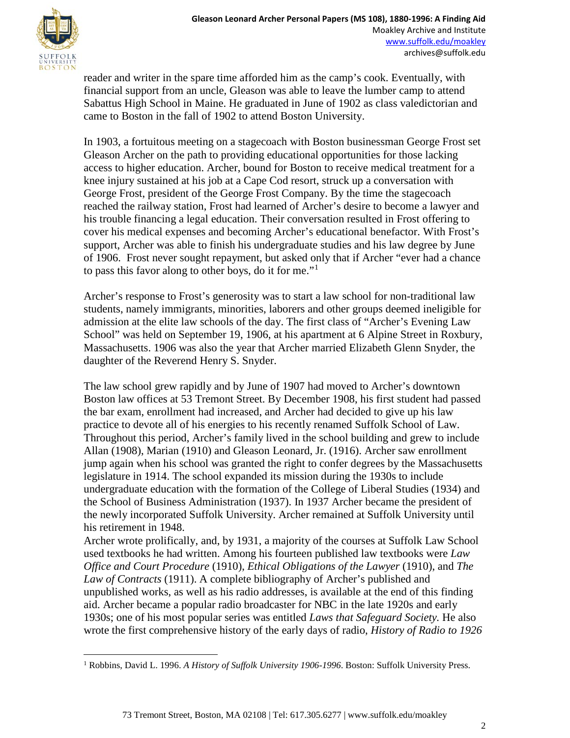

reader and writer in the spare time afforded him as the camp's cook. Eventually, with financial support from an uncle, Gleason was able to leave the lumber camp to attend Sabattus High School in Maine. He graduated in June of 1902 as class valedictorian and came to Boston in the fall of 1902 to attend Boston University.

In 1903, a fortuitous meeting on a stagecoach with Boston businessman George Frost set Gleason Archer on the path to providing educational opportunities for those lacking access to higher education. Archer, bound for Boston to receive medical treatment for a knee injury sustained at his job at a Cape Cod resort, struck up a conversation with George Frost, president of the George Frost Company. By the time the stagecoach reached the railway station, Frost had learned of Archer's desire to become a lawyer and his trouble financing a legal education. Their conversation resulted in Frost offering to cover his medical expenses and becoming Archer's educational benefactor. With Frost's support, Archer was able to finish his undergraduate studies and his law degree by June of 1906. Frost never sought repayment, but asked only that if Archer "ever had a chance to pass this favor along to other boys, do it for me."[1](#page-1-0)

Archer's response to Frost's generosity was to start a law school for non-traditional law students, namely immigrants, minorities, laborers and other groups deemed ineligible for admission at the elite law schools of the day. The first class of "Archer's Evening Law School" was held on September 19, 1906, at his apartment at 6 Alpine Street in Roxbury, Massachusetts. 1906 was also the year that Archer married Elizabeth Glenn Snyder, the daughter of the Reverend Henry S. Snyder.

The law school grew rapidly and by June of 1907 had moved to Archer's downtown Boston law offices at 53 Tremont Street. By December 1908, his first student had passed the bar exam, enrollment had increased, and Archer had decided to give up his law practice to devote all of his energies to his recently renamed Suffolk School of Law. Throughout this period, Archer's family lived in the school building and grew to include Allan (1908), Marian (1910) and Gleason Leonard, Jr. (1916). Archer saw enrollment jump again when his school was granted the right to confer degrees by the Massachusetts legislature in 1914. The school expanded its mission during the 1930s to include undergraduate education with the formation of the College of Liberal Studies (1934) and the School of Business Administration (1937). In 1937 Archer became the president of the newly incorporated Suffolk University. Archer remained at Suffolk University until his retirement in 1948.

Archer wrote prolifically, and, by 1931, a majority of the courses at Suffolk Law School used textbooks he had written. Among his fourteen published law textbooks were *Law Office and Court Procedure* (1910), *Ethical Obligations of the Lawyer* (1910), and *The Law of Contracts* (1911). A complete bibliography of Archer's published and unpublished works, as well as his radio addresses, is available at the end of this finding aid. Archer became a popular radio broadcaster for NBC in the late 1920s and early 1930s; one of his most popular series was entitled *Laws that Safeguard Society.* He also wrote the first comprehensive history of the early days of radio, *History of Radio to 1926*

<span id="page-1-0"></span><sup>&</sup>lt;sup>1</sup> Robbins, David L. 1996. A History of Suffolk University 1906-1996. Boston: Suffolk University Press.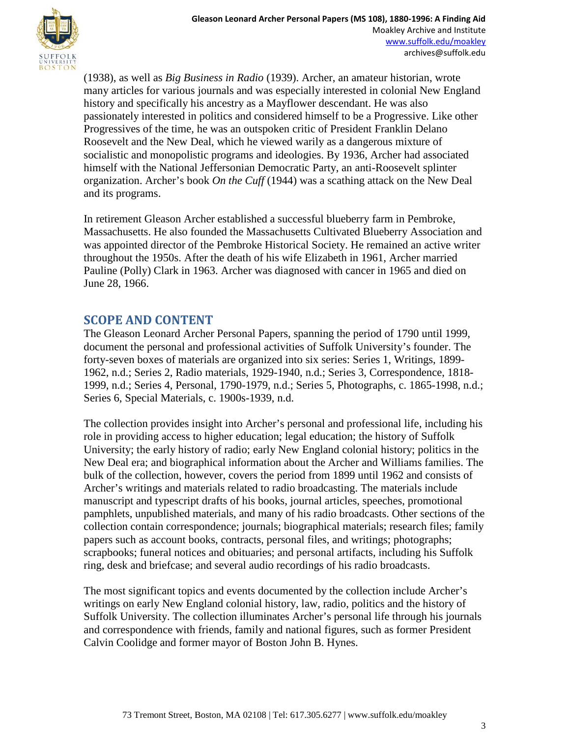

(1938), as well as *Big Business in Radio* (1939). Archer, an amateur historian, wrote many articles for various journals and was especially interested in colonial New England history and specifically his ancestry as a Mayflower descendant. He was also passionately interested in politics and considered himself to be a Progressive. Like other Progressives of the time, he was an outspoken critic of President Franklin Delano Roosevelt and the New Deal, which he viewed warily as a dangerous mixture of socialistic and monopolistic programs and ideologies. By 1936, Archer had associated himself with the National Jeffersonian Democratic Party, an anti-Roosevelt splinter organization. Archer's book *On the Cuff* (1944) was a scathing attack on the New Deal and its programs.

In retirement Gleason Archer established a successful blueberry farm in Pembroke, Massachusetts. He also founded the Massachusetts Cultivated Blueberry Association and was appointed director of the Pembroke Historical Society. He remained an active writer throughout the 1950s. After the death of his wife Elizabeth in 1961, Archer married Pauline (Polly) Clark in 1963. Archer was diagnosed with cancer in 1965 and died on June 28, 1966.

#### **SCOPE AND CONTENT**

The Gleason Leonard Archer Personal Papers, spanning the period of 1790 until 1999, document the personal and professional activities of Suffolk University's founder. The forty-seven boxes of materials are organized into six series: Series 1, Writings, 1899- 1962, n.d.; Series 2, Radio materials, 1929-1940, n.d.; Series 3, Correspondence, 1818- 1999, n.d.; Series 4, Personal, 1790-1979, n.d.; Series 5, Photographs, c. 1865-1998, n.d.; Series 6, Special Materials, c. 1900s-1939, n.d.

The collection provides insight into Archer's personal and professional life, including his role in providing access to higher education; legal education; the history of Suffolk University; the early history of radio; early New England colonial history; politics in the New Deal era; and biographical information about the Archer and Williams families. The bulk of the collection, however, covers the period from 1899 until 1962 and consists of Archer's writings and materials related to radio broadcasting. The materials include manuscript and typescript drafts of his books, journal articles, speeches, promotional pamphlets, unpublished materials, and many of his radio broadcasts. Other sections of the collection contain correspondence; journals; biographical materials; research files; family papers such as account books, contracts, personal files, and writings; photographs; scrapbooks; funeral notices and obituaries; and personal artifacts, including his Suffolk ring, desk and briefcase; and several audio recordings of his radio broadcasts.

The most significant topics and events documented by the collection include Archer's writings on early New England colonial history, law, radio, politics and the history of Suffolk University. The collection illuminates Archer's personal life through his journals and correspondence with friends, family and national figures, such as former President Calvin Coolidge and former mayor of Boston John B. Hynes.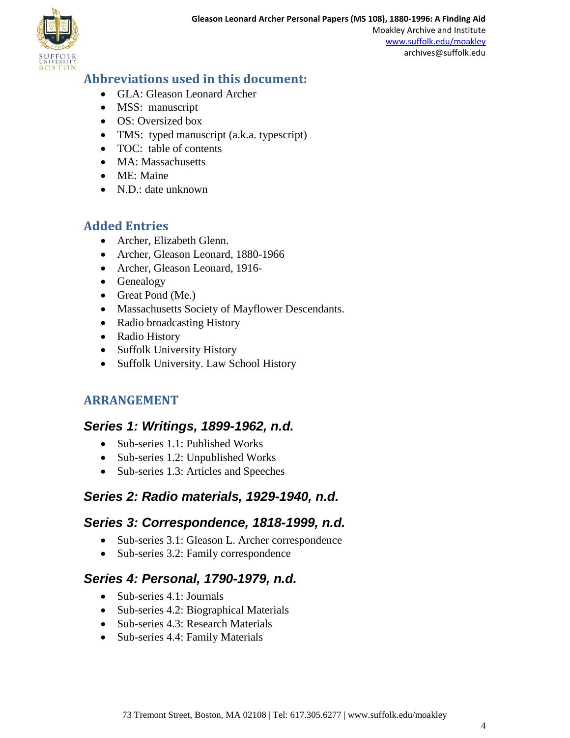

### **Abbreviations used in this document:**

- GLA: Gleason Leonard Archer
- MSS: manuscript
- OS: Oversized box
- TMS: typed manuscript (a.k.a. typescript)
- TOC: table of contents
- MA: Massachusetts
- ME: Maine
- N.D.: date unknown

## **Added Entries**

- Archer, Elizabeth Glenn.
- Archer, Gleason Leonard, 1880-1966
- Archer, Gleason Leonard, 1916-
- Genealogy
- Great Pond (Me.)
- Massachusetts Society of Mayflower Descendants.
- Radio broadcasting History
- Radio History
- Suffolk University History
- Suffolk University. Law School History

## **ARRANGEMENT**

### *Series 1: Writings, 1899-1962, n.d.*

- Sub-series 1.1: Published Works
- Sub-series 1.2: Unpublished Works
- Sub-series 1.3: Articles and Speeches

## *Series 2: Radio materials, 1929-1940, n.d.*

## *Series 3: Correspondence, 1818-1999, n.d.*

- Sub-series 3.1: Gleason L. Archer correspondence
- Sub-series 3.2: Family correspondence

### *Series 4: Personal, 1790-1979, n.d.*

- Sub-series 4.1: Journals
- Sub-series 4.2: Biographical Materials
- Sub-series 4.3: Research Materials
- Sub-series 4.4: Family Materials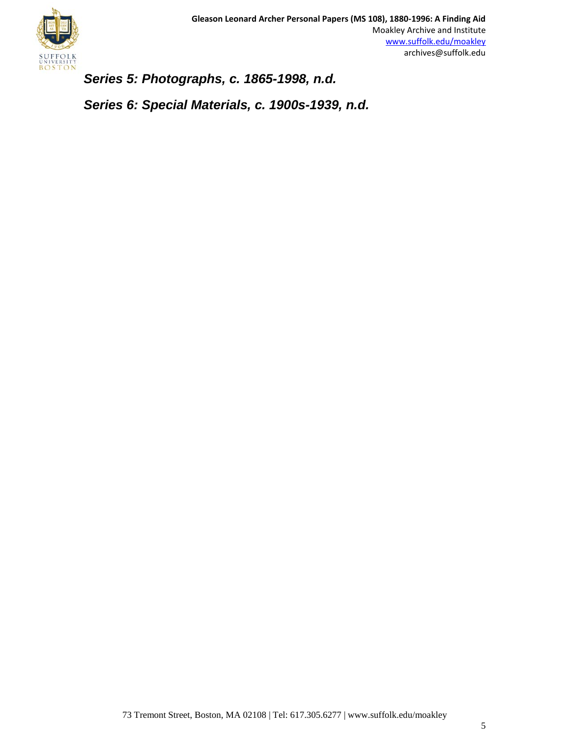

*Series 5: Photographs, c. 1865-1998, n.d.*

*Series 6: Special Materials, c. 1900s-1939, n.d.*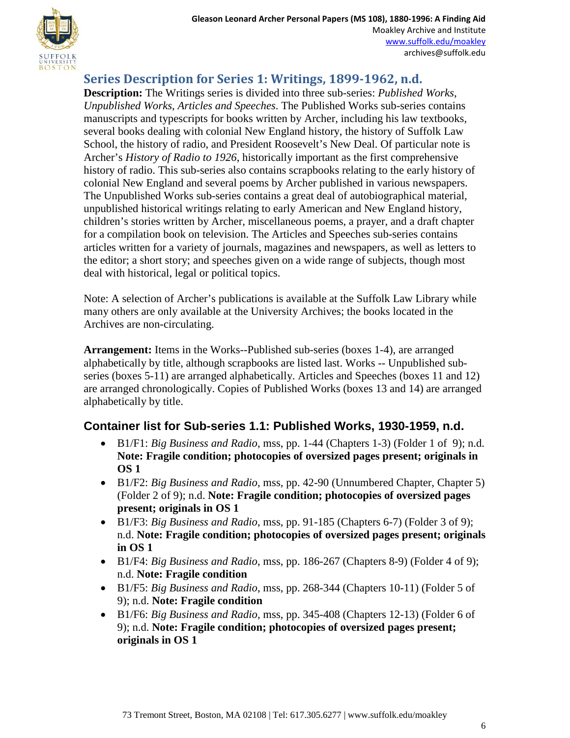**Series Description for Series 1: Writings, 1899-1962, n.d.**

**Description:** The Writings series is divided into three sub-series: *Published Works*, *Unpublished Works*, *Articles and Speeches*. The Published Works sub-series contains manuscripts and typescripts for books written by Archer, including his law textbooks, several books dealing with colonial New England history, the history of Suffolk Law School, the history of radio, and President Roosevelt's New Deal. Of particular note is Archer's *History of Radio to 1926*, historically important as the first comprehensive history of radio. This sub-series also contains scrapbooks relating to the early history of colonial New England and several poems by Archer published in various newspapers. The Unpublished Works sub-series contains a great deal of autobiographical material, unpublished historical writings relating to early American and New England history, children's stories written by Archer, miscellaneous poems, a prayer, and a draft chapter for a compilation book on television. The Articles and Speeches sub-series contains articles written for a variety of journals, magazines and newspapers, as well as letters to the editor; a short story; and speeches given on a wide range of subjects, though most deal with historical, legal or political topics.

Note: A selection of Archer's publications is available at the Suffolk Law Library while many others are only available at the University Archives; the books located in the Archives are non-circulating.

**Arrangement:** Items in the Works--Published sub-series (boxes 1-4), are arranged alphabetically by title, although scrapbooks are listed last. Works -- Unpublished subseries (boxes 5-11) are arranged alphabetically. Articles and Speeches (boxes 11 and 12) are arranged chronologically. Copies of Published Works (boxes 13 and 14) are arranged alphabetically by title.

### **Container list for Sub-series 1.1: Published Works, 1930-1959, n.d.**

- B1/F1: *Big Business and Radio*, mss, pp. 1-44 (Chapters 1-3) (Folder 1 of 9); n.d. **Note: Fragile condition; photocopies of oversized pages present; originals in OS 1**
- B1/F2: *Big Business and Radio*, mss, pp. 42-90 (Unnumbered Chapter, Chapter 5) (Folder 2 of 9); n.d. **Note: Fragile condition; photocopies of oversized pages present; originals in OS 1**
- B1/F3: *Big Business and Radio*, mss, pp. 91-185 (Chapters 6-7) (Folder 3 of 9); n.d. **Note: Fragile condition; photocopies of oversized pages present; originals in OS 1**
- B1/F4: *Big Business and Radio*, mss, pp. 186-267 (Chapters 8-9) (Folder 4 of 9); n.d. **Note: Fragile condition**
- B1/F5: *Big Business and Radio*, mss, pp. 268-344 (Chapters 10-11) (Folder 5 of 9); n.d. **Note: Fragile condition**
- B1/F6: *Big Business and Radio*, mss, pp. 345-408 (Chapters 12-13) (Folder 6 of 9); n.d. **Note: Fragile condition; photocopies of oversized pages present; originals in OS 1**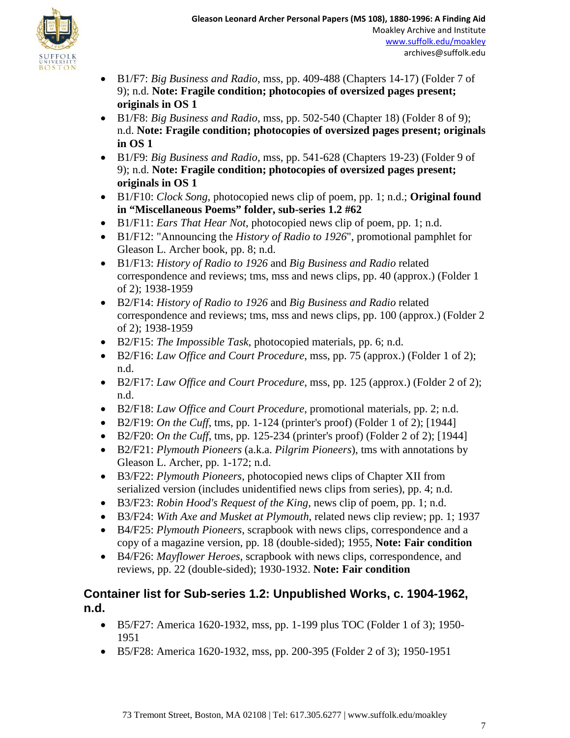

- B1/F7: *Big Business and Radio*, mss, pp. 409-488 (Chapters 14-17) (Folder 7 of 9); n.d. **Note: Fragile condition; photocopies of oversized pages present; originals in OS 1**
- B1/F8: *Big Business and Radio*, mss, pp. 502-540 (Chapter 18) (Folder 8 of 9); n.d. **Note: Fragile condition; photocopies of oversized pages present; originals in OS 1**
- B1/F9: *Big Business and Radio*, mss, pp. 541-628 (Chapters 19-23) (Folder 9 of 9); n.d. **Note: Fragile condition; photocopies of oversized pages present; originals in OS 1**
- B1/F10: *Clock Song*, photocopied news clip of poem, pp. 1; n.d.; **Original found in "Miscellaneous Poems" folder, sub-series 1.2 #62**
- B1/F11: *Ears That Hear Not*, photocopied news clip of poem, pp. 1; n.d.
- B1/F12: "Announcing the *History of Radio to 1926*", promotional pamphlet for Gleason L. Archer book, pp. 8; n.d.
- B1/F13: *History of Radio to 1926* and *Big Business and Radio* related correspondence and reviews; tms, mss and news clips, pp. 40 (approx.) (Folder 1 of 2); 1938-1959
- B2/F14: *History of Radio to 1926* and *Big Business and Radio* related correspondence and reviews; tms, mss and news clips, pp. 100 (approx.) (Folder 2 of 2); 1938-1959
- B2/F15: *The Impossible Task*, photocopied materials, pp. 6; n.d.
- B2/F16: *Law Office and Court Procedure*, mss, pp. 75 (approx.) (Folder 1 of 2); n.d.
- B2/F17: *Law Office and Court Procedure*, mss, pp. 125 (approx.) (Folder 2 of 2); n.d.
- B2/F18: *Law Office and Court Procedure*, promotional materials, pp. 2; n.d.
- B2/F19: *On the Cuff*, tms, pp. 1-124 (printer's proof) (Folder 1 of 2); [1944]
- B2/F20: *On the Cuff*, tms, pp. 125-234 (printer's proof) (Folder 2 of 2); [1944]
- B2/F21: *Plymouth Pioneers* (a.k.a. *Pilgrim Pioneers*), tms with annotations by Gleason L. Archer, pp. 1-172; n.d.
- B3/F22: *Plymouth Pioneers*, photocopied news clips of Chapter XII from serialized version (includes unidentified news clips from series), pp. 4; n.d.
- B3/F23: *Robin Hood's Request of the King*, news clip of poem, pp. 1; n.d.
- B3/F24: *With Axe and Musket at Plymouth*, related news clip review; pp. 1; 1937
- B4/F25: *Plymouth Pioneers*, scrapbook with news clips, correspondence and a copy of a magazine version, pp. 18 (double-sided); 1955, **Note: Fair condition**
- B4/F26: *Mayflower Heroes*, scrapbook with news clips, correspondence, and reviews, pp. 22 (double-sided); 1930-1932. **Note: Fair condition**

## **Container list for Sub-series 1.2: Unpublished Works, c. 1904-1962, n.d.**

- B5/F27: America 1620-1932, mss, pp. 1-199 plus TOC (Folder 1 of 3); 1950- 1951
- B5/F28: America 1620-1932, mss, pp. 200-395 (Folder 2 of 3); 1950-1951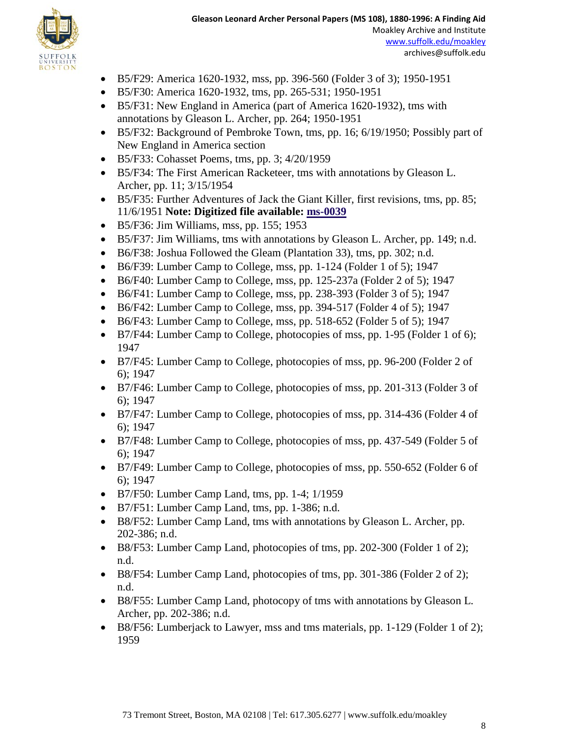

- B5/F29: America 1620-1932, mss, pp. 396-560 (Folder 3 of 3); 1950-1951
- B5/F30: America 1620-1932, tms, pp. 265-531; 1950-1951
- B5/F31: New England in America (part of America 1620-1932), tms with annotations by Gleason L. Archer, pp. 264; 1950-1951
- B5/F32: Background of Pembroke Town, tms, pp. 16; 6/19/1950; Possibly part of New England in America section
- B5/F33: Cohasset Poems, tms, pp. 3; 4/20/1959
- B5/F34: The First American Racketeer, tms with annotations by Gleason L. Archer, pp. 11; 3/15/1954
- B5/F35: Further Adventures of Jack the Giant Killer, first revisions, tms, pp. 85; 11/6/1951 **Note: Digitized file available: [ms-0039](http://moakleyarchive.omeka.net/items/show/357)**
- B5/F36: Jim Williams, mss, pp. 155; 1953
- B5/F37: Jim Williams, tms with annotations by Gleason L. Archer, pp. 149; n.d.
- B6/F38: Joshua Followed the Gleam (Plantation 33), tms, pp. 302; n.d.
- B6/F39: Lumber Camp to College, mss, pp. 1-124 (Folder 1 of 5); 1947
- B6/F40: Lumber Camp to College, mss, pp. 125-237a (Folder 2 of 5); 1947
- B6/F41: Lumber Camp to College, mss, pp. 238-393 (Folder 3 of 5); 1947
- B6/F42: Lumber Camp to College, mss, pp. 394-517 (Folder 4 of 5); 1947
- B6/F43: Lumber Camp to College, mss, pp. 518-652 (Folder 5 of 5); 1947
- B7/F44: Lumber Camp to College, photocopies of mss, pp. 1-95 (Folder 1 of 6); 1947
- B7/F45: Lumber Camp to College, photocopies of mss, pp. 96-200 (Folder 2 of 6); 1947
- B7/F46: Lumber Camp to College, photocopies of mss, pp. 201-313 (Folder 3 of 6); 1947
- B7/F47: Lumber Camp to College, photocopies of mss, pp. 314-436 (Folder 4 of 6); 1947
- B7/F48: Lumber Camp to College, photocopies of mss, pp. 437-549 (Folder 5 of 6); 1947
- B7/F49: Lumber Camp to College, photocopies of mss, pp. 550-652 (Folder 6 of 6); 1947
- B7/F50: Lumber Camp Land, tms, pp. 1-4; 1/1959
- B7/F51: Lumber Camp Land, tms, pp. 1-386; n.d.
- B8/F52: Lumber Camp Land, tms with annotations by Gleason L. Archer, pp. 202-386; n.d.
- B8/F53: Lumber Camp Land, photocopies of tms, pp. 202-300 (Folder 1 of 2); n.d.
- B8/F54: Lumber Camp Land, photocopies of tms, pp. 301-386 (Folder 2 of 2); n.d.
- B8/F55: Lumber Camp Land, photocopy of tms with annotations by Gleason L. Archer, pp. 202-386; n.d.
- B8/F56: Lumberjack to Lawyer, mss and tms materials, pp. 1-129 (Folder 1 of 2); 1959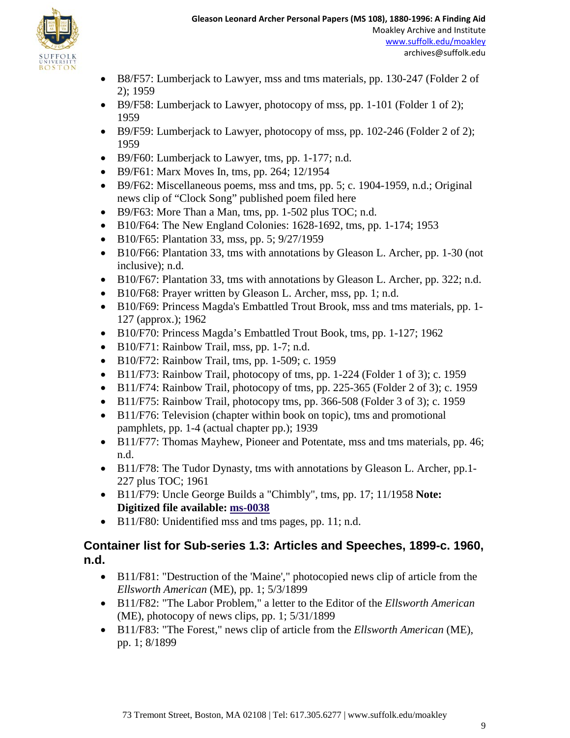

- B8/F57: Lumberjack to Lawyer, mss and tms materials, pp. 130-247 (Folder 2 of 2); 1959
- B9/F58: Lumberjack to Lawyer, photocopy of mss, pp. 1-101 (Folder 1 of 2); 1959
- B9/F59: Lumberjack to Lawyer, photocopy of mss, pp. 102-246 (Folder 2 of 2); 1959
- B9/F60: Lumberjack to Lawyer, tms, pp. 1-177; n.d.
- B9/F61: Marx Moves In, tms, pp. 264; 12/1954
- B9/F62: Miscellaneous poems, mss and tms, pp. 5; c. 1904-1959, n.d.; Original news clip of "Clock Song" published poem filed here
- B9/F63: More Than a Man, tms, pp. 1-502 plus TOC; n.d.
- B10/F64: The New England Colonies: 1628-1692, tms, pp. 1-174; 1953
- B10/F65: Plantation 33, mss, pp. 5; 9/27/1959
- B10/F66: Plantation 33, tms with annotations by Gleason L. Archer, pp. 1-30 (not inclusive); n.d.
- B10/F67: Plantation 33, tms with annotations by Gleason L. Archer, pp. 322; n.d.
- B10/F68: Prayer written by Gleason L. Archer, mss, pp. 1; n.d.
- B10/F69: Princess Magda's Embattled Trout Brook, mss and tms materials, pp. 1- 127 (approx.); 1962
- B10/F70: Princess Magda's Embattled Trout Book, tms, pp. 1-127; 1962
- B10/F71: Rainbow Trail, mss, pp. 1-7; n.d.
- B10/F72: Rainbow Trail, tms, pp. 1-509; c. 1959
- B11/F73: Rainbow Trail, photocopy of tms, pp. 1-224 (Folder 1 of 3); c. 1959
- B11/F74: Rainbow Trail, photocopy of tms, pp. 225-365 (Folder 2 of 3); c. 1959
- B11/F75: Rainbow Trail, photocopy tms, pp. 366-508 (Folder 3 of 3); c. 1959
- B11/F76: Television (chapter within book on topic), tms and promotional pamphlets, pp. 1-4 (actual chapter pp.); 1939
- B11/F77: Thomas Mayhew, Pioneer and Potentate, mss and tms materials, pp. 46; n.d.
- B11/F78: The Tudor Dynasty, tms with annotations by Gleason L. Archer, pp.1-227 plus TOC; 1961
- B11/F79: Uncle George Builds a "Chimbly", tms, pp. 17; 11/1958 **Note: Digitized file available: [ms-0038](http://moakleyarchive.omeka.net/items/show/356)**
- B11/F80: Unidentified mss and tms pages, pp. 11; n.d.

### **Container list for Sub-series 1.3: Articles and Speeches, 1899-c. 1960, n.d.**

- B11/F81: "Destruction of the 'Maine'," photocopied news clip of article from the *Ellsworth American* (ME), pp. 1; 5/3/1899
- B11/F82: "The Labor Problem," a letter to the Editor of the *Ellsworth American* (ME), photocopy of news clips, pp. 1; 5/31/1899
- B11/F83: "The Forest," news clip of article from the *Ellsworth American* (ME), pp. 1; 8/1899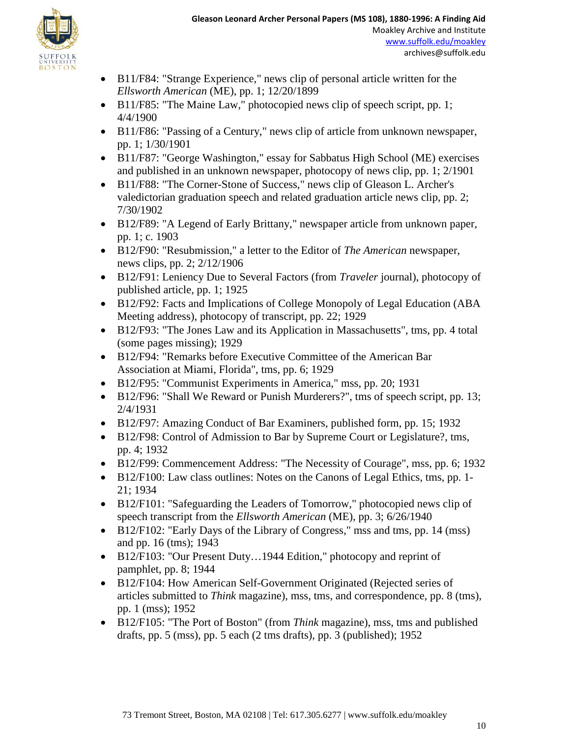

- B11/F84: "Strange Experience," news clip of personal article written for the *Ellsworth American* (ME), pp. 1; 12/20/1899
- B11/F85: "The Maine Law," photocopied news clip of speech script, pp. 1; 4/4/1900
- B11/F86: "Passing of a Century," news clip of article from unknown newspaper, pp. 1; 1/30/1901
- B11/F87: "George Washington," essay for Sabbatus High School (ME) exercises and published in an unknown newspaper, photocopy of news clip, pp. 1; 2/1901
- B11/F88: "The Corner-Stone of Success," news clip of Gleason L. Archer's valedictorian graduation speech and related graduation article news clip, pp. 2; 7/30/1902
- B12/F89: "A Legend of Early Brittany," newspaper article from unknown paper, pp. 1; c. 1903
- B12/F90: "Resubmission," a letter to the Editor of *The American* newspaper, news clips, pp. 2; 2/12/1906
- B12/F91: Leniency Due to Several Factors (from *Traveler* journal), photocopy of published article, pp. 1; 1925
- B12/F92: Facts and Implications of College Monopoly of Legal Education (ABA Meeting address), photocopy of transcript, pp. 22; 1929
- B12/F93: "The Jones Law and its Application in Massachusetts", tms, pp. 4 total (some pages missing); 1929
- B12/F94: "Remarks before Executive Committee of the American Bar Association at Miami, Florida", tms, pp. 6; 1929
- B12/F95: "Communist Experiments in America," mss, pp. 20; 1931
- B12/F96: "Shall We Reward or Punish Murderers?", tms of speech script, pp. 13; 2/4/1931
- B12/F97: Amazing Conduct of Bar Examiners, published form, pp. 15; 1932
- B12/F98: Control of Admission to Bar by Supreme Court or Legislature?, tms, pp. 4; 1932
- B12/F99: Commencement Address: "The Necessity of Courage", mss, pp. 6; 1932
- B12/F100: Law class outlines: Notes on the Canons of Legal Ethics, tms, pp. 1- 21; 1934
- B12/F101: "Safeguarding the Leaders of Tomorrow," photocopied news clip of speech transcript from the *Ellsworth American* (ME), pp. 3; 6/26/1940
- B12/F102: "Early Days of the Library of Congress," mss and tms, pp. 14 (mss) and pp. 16 (tms); 1943
- B12/F103: "Our Present Duty...1944 Edition," photocopy and reprint of pamphlet, pp. 8; 1944
- B12/F104: How American Self-Government Originated (Rejected series of articles submitted to *Think* magazine), mss, tms, and correspondence, pp. 8 (tms), pp. 1 (mss); 1952
- B12/F105: "The Port of Boston" (from *Think* magazine), mss, tms and published drafts, pp. 5 (mss), pp. 5 each (2 tms drafts), pp. 3 (published); 1952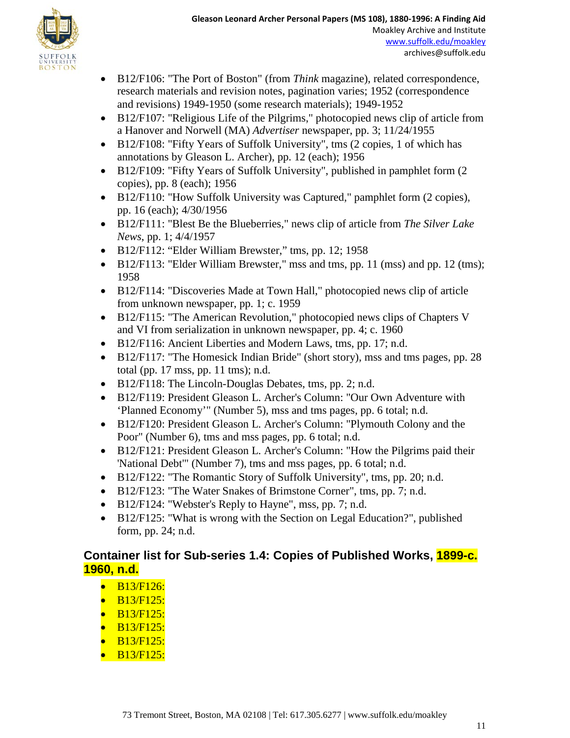

- B12/F106: "The Port of Boston" (from *Think* magazine), related correspondence, research materials and revision notes, pagination varies; 1952 (correspondence and revisions) 1949-1950 (some research materials); 1949-1952
- B12/F107: "Religious Life of the Pilgrims," photocopied news clip of article from a Hanover and Norwell (MA) *Advertiser* newspaper, pp. 3; 11/24/1955
- B12/F108: "Fifty Years of Suffolk University", tms (2 copies, 1 of which has annotations by Gleason L. Archer), pp. 12 (each); 1956
- B12/F109: "Fifty Years of Suffolk University", published in pamphlet form (2) copies), pp. 8 (each); 1956
- B12/F110: "How Suffolk University was Captured," pamphlet form (2 copies), pp. 16 (each); 4/30/1956
- B12/F111: "Blest Be the Blueberries," news clip of article from *The Silver Lake News*, pp. 1; 4/4/1957
- B12/F112: "Elder William Brewster," tms, pp. 12; 1958
- B12/F113: "Elder William Brewster," mss and tms, pp. 11 (mss) and pp. 12 (tms); 1958
- B12/F114: "Discoveries Made at Town Hall," photocopied news clip of article from unknown newspaper, pp. 1; c. 1959
- B12/F115: "The American Revolution," photocopied news clips of Chapters V and VI from serialization in unknown newspaper, pp. 4; c. 1960
- B12/F116: Ancient Liberties and Modern Laws, tms, pp. 17; n.d.
- B12/F117: "The Homesick Indian Bride" (short story), mss and tms pages, pp. 28 total (pp. 17 mss, pp. 11 tms); n.d.
- B12/F118: The Lincoln-Douglas Debates, tms, pp. 2; n.d.
- B12/F119: President Gleason L. Archer's Column: "Our Own Adventure with 'Planned Economy'" (Number 5), mss and tms pages, pp. 6 total; n.d.
- B12/F120: President Gleason L. Archer's Column: "Plymouth Colony and the Poor" (Number 6), tms and mss pages, pp. 6 total; n.d.
- B12/F121: President Gleason L. Archer's Column: "How the Pilgrims paid their 'National Debt'" (Number 7), tms and mss pages, pp. 6 total; n.d.
- B12/F122: "The Romantic Story of Suffolk University", tms, pp. 20; n.d.
- B12/F123: "The Water Snakes of Brimstone Corner", tms, pp. 7; n.d.
- B12/F124: "Webster's Reply to Hayne", mss, pp. 7; n.d.
- B12/F125: "What is wrong with the Section on Legal Education?", published form, pp. 24; n.d.

### **Container list for Sub-series 1.4: Copies of Published Works, 1899-c. 1960, n.d.**

- $\bullet$  B13/F126:
- $\bullet$  B13/F125:
- $\bullet$  B13/F125:
- $\bullet$  B13/F125:
- $\bullet$  B13/F125:
- $\bullet$  B13/F125: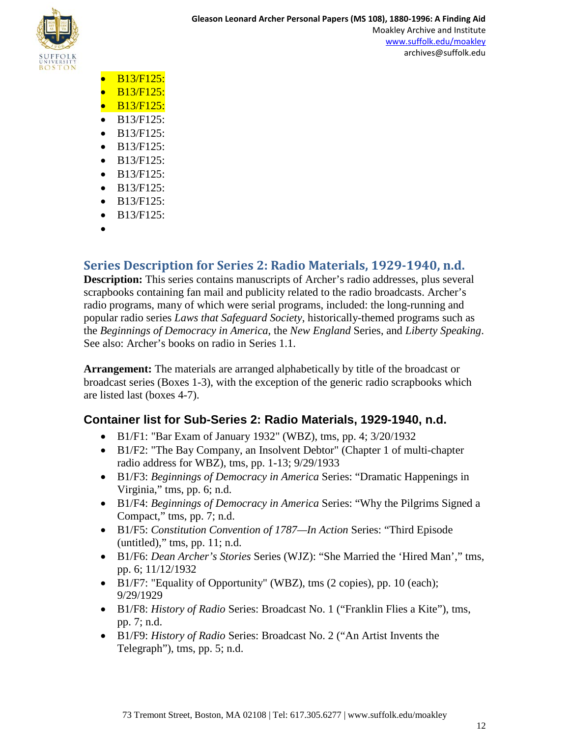

- B13/F125:
- $\bullet$  B13/F125:
- B13/F125:
- B13/F125:
- B13/F125:
- B13/F125:
- B13/F125:
- B13/F125:
- B13/F125:
- B13/F125:
- B13/F125:
- •

## **Series Description for Series 2: Radio Materials, 1929-1940, n.d.**

**Description:** This series contains manuscripts of Archer's radio addresses, plus several scrapbooks containing fan mail and publicity related to the radio broadcasts. Archer's radio programs, many of which were serial programs, included: the long-running and popular radio series *Laws that Safeguard Society*, historically-themed programs such as the *Beginnings of Democracy in America*, the *New England* Series, and *Liberty Speaking*. See also: Archer's books on radio in Series 1.1.

**Arrangement:** The materials are arranged alphabetically by title of the broadcast or broadcast series (Boxes 1-3), with the exception of the generic radio scrapbooks which are listed last (boxes 4-7).

### **Container list for Sub-Series 2: Radio Materials, 1929-1940, n.d.**

- B1/F1: "Bar Exam of January 1932" (WBZ), tms, pp. 4; 3/20/1932
- B1/F2: "The Bay Company, an Insolvent Debtor" (Chapter 1 of multi-chapter radio address for WBZ), tms, pp. 1-13; 9/29/1933
- B1/F3: *Beginnings of Democracy in America* Series: "Dramatic Happenings in Virginia," tms, pp. 6; n.d.
- B1/F4: *Beginnings of Democracy in America* Series: "Why the Pilgrims Signed a Compact," tms, pp. 7; n.d.
- B1/F5: *Constitution Convention of 1787—In Action* Series: "Third Episode  $(untitled), "tms, pp. 11; n.d.$
- B1/F6: *Dean Archer's Stories* Series (WJZ): "She Married the 'Hired Man'," tms, pp. 6; 11/12/1932
- B1/F7: "Equality of Opportunity" (WBZ), tms (2 copies), pp. 10 (each); 9/29/1929
- B1/F8: *History of Radio* Series: Broadcast No. 1 ("Franklin Flies a Kite"), tms, pp. 7; n.d.
- B1/F9: *History of Radio* Series: Broadcast No. 2 ("An Artist Invents the Telegraph"), tms, pp. 5; n.d.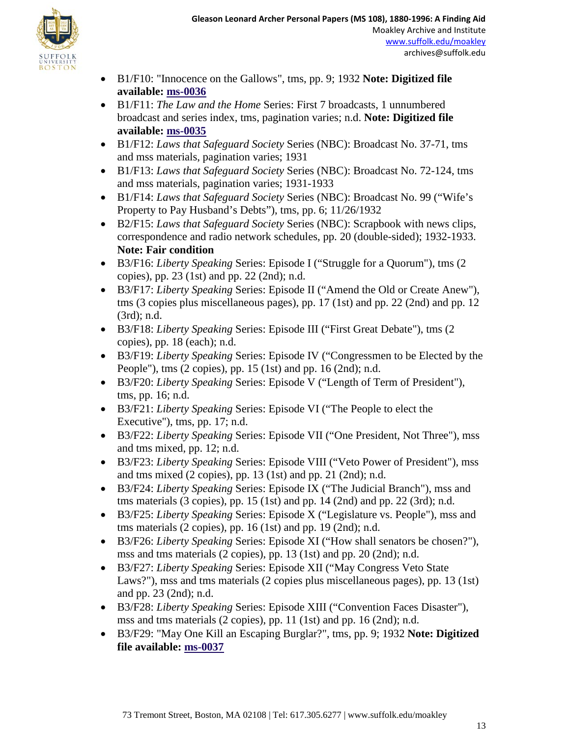

- B1/F10: "Innocence on the Gallows", tms, pp. 9; 1932 **Note: Digitized file available: [ms-0036](http://moakleyarchive.omeka.net/items/show/354)**
- B1/F11: *The Law and the Home* Series: First 7 broadcasts, 1 unnumbered broadcast and series index, tms, pagination varies; n.d. **Note: Digitized file available: [ms-0035](http://moakleyarchive.omeka.net/items/show/353)**
- B1/F12: *Laws that Safeguard Society* Series (NBC): Broadcast No. 37-71, tms and mss materials, pagination varies; 1931
- B1/F13: *Laws that Safeguard Society* Series (NBC): Broadcast No. 72-124, tms and mss materials, pagination varies; 1931-1933
- B1/F14: *Laws that Safeguard Society* Series (NBC): Broadcast No. 99 ("Wife's Property to Pay Husband's Debts"), tms, pp. 6; 11/26/1932
- B2/F15: *Laws that Safeguard Society* Series (NBC): Scrapbook with news clips, correspondence and radio network schedules, pp. 20 (double-sided); 1932-1933. **Note: Fair condition**
- B3/F16: *Liberty Speaking* Series: Episode I ("Struggle for a Quorum"), tms (2 copies), pp. 23 (1st) and pp. 22 (2nd); n.d.
- B3/F17: *Liberty Speaking* Series: Episode II ("Amend the Old or Create Anew"), tms (3 copies plus miscellaneous pages), pp. 17 (1st) and pp. 22 (2nd) and pp. 12 (3rd); n.d.
- B3/F18: *Liberty Speaking* Series: Episode III ("First Great Debate"), tms (2 copies), pp. 18 (each); n.d.
- B3/F19: *Liberty Speaking* Series: Episode IV ("Congressmen to be Elected by the People"), tms (2 copies), pp. 15 (1st) and pp. 16 (2nd); n.d.
- B3/F20: *Liberty Speaking* Series: Episode V ("Length of Term of President"), tms, pp. 16; n.d.
- B3/F21: *Liberty Speaking* Series: Episode VI ("The People to elect the Executive"), tms, pp. 17; n.d.
- B3/F22: *Liberty Speaking* Series: Episode VII ("One President, Not Three"), mss and tms mixed, pp. 12; n.d.
- B3/F23: *Liberty Speaking* Series: Episode VIII ("Veto Power of President"), mss and tms mixed  $(2 \text{ copies})$ , pp. 13  $(1st)$  and pp. 21  $(2nd)$ ; n.d.
- B3/F24: *Liberty Speaking* Series: Episode IX ("The Judicial Branch"), mss and tms materials  $(3 \text{ copies})$ , pp. 15  $(1st)$  and pp. 14  $(2nd)$  and pp. 22  $(3rd)$ ; n.d.
- B3/F25: *Liberty Speaking* Series: Episode X ("Legislature vs. People"), mss and tms materials (2 copies), pp. 16 (1st) and pp. 19 (2nd); n.d.
- B3/F26: *Liberty Speaking* Series: Episode XI ("How shall senators be chosen?"), mss and tms materials (2 copies), pp. 13 (1st) and pp. 20 (2nd); n.d.
- B3/F27: *Liberty Speaking* Series: Episode XII ("May Congress Veto State Laws?"), mss and tms materials (2 copies plus miscellaneous pages), pp. 13 (1st) and pp. 23 (2nd); n.d.
- B3/F28: *Liberty Speaking* Series: Episode XIII ("Convention Faces Disaster"), mss and tms materials (2 copies), pp. 11 (1st) and pp. 16 (2nd); n.d.
- B3/F29: "May One Kill an Escaping Burglar?", tms, pp. 9; 1932 **Note: Digitized file available: [ms-0037](http://moakleyarchive.omeka.net/items/show/355)**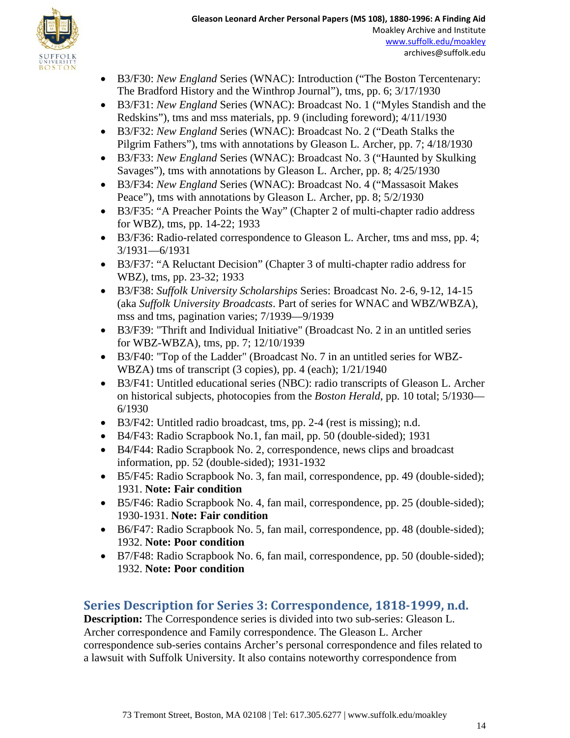

- B3/F30: *New England* Series (WNAC): Introduction ("The Boston Tercentenary: The Bradford History and the Winthrop Journal"), tms, pp. 6; 3/17/1930
- B3/F31: *New England* Series (WNAC): Broadcast No. 1 ("Myles Standish and the Redskins"), tms and mss materials, pp. 9 (including foreword); 4/11/1930
- B3/F32: *New England* Series (WNAC): Broadcast No. 2 ("Death Stalks the Pilgrim Fathers"), tms with annotations by Gleason L. Archer, pp. 7; 4/18/1930
- B3/F33: *New England* Series (WNAC): Broadcast No. 3 ("Haunted by Skulking Savages"), tms with annotations by Gleason L. Archer, pp. 8; 4/25/1930
- B3/F34: *New England* Series (WNAC): Broadcast No. 4 ("Massasoit Makes Peace"), tms with annotations by Gleason L. Archer, pp. 8; 5/2/1930
- B3/F35: "A Preacher Points the Way" (Chapter 2 of multi-chapter radio address for WBZ), tms, pp. 14-22; 1933
- B3/F36: Radio-related correspondence to Gleason L. Archer, tms and mss, pp. 4; 3/1931—6/1931
- B3/F37: "A Reluctant Decision" (Chapter 3 of multi-chapter radio address for WBZ), tms, pp. 23-32; 1933
- B3/F38: *Suffolk University Scholarships* Series: Broadcast No. 2-6, 9-12, 14-15 (aka *Suffolk University Broadcasts*. Part of series for WNAC and WBZ/WBZA), mss and tms, pagination varies; 7/1939—9/1939
- B3/F39: "Thrift and Individual Initiative" (Broadcast No. 2 in an untitled series for WBZ-WBZA), tms, pp. 7; 12/10/1939
- B3/F40: "Top of the Ladder" (Broadcast No. 7 in an untitled series for WBZ-WBZA) tms of transcript (3 copies), pp. 4 (each); 1/21/1940
- B3/F41: Untitled educational series (NBC): radio transcripts of Gleason L. Archer on historical subjects, photocopies from the *Boston Herald*, pp. 10 total; 5/1930— 6/1930
- B3/F42: Untitled radio broadcast, tms, pp. 2-4 (rest is missing); n.d.
- B4/F43: Radio Scrapbook No.1, fan mail, pp. 50 (double-sided); 1931
- B4/F44: Radio Scrapbook No. 2, correspondence, news clips and broadcast information, pp. 52 (double-sided); 1931-1932
- B5/F45: Radio Scrapbook No. 3, fan mail, correspondence, pp. 49 (double-sided); 1931. **Note: Fair condition**
- B5/F46: Radio Scrapbook No. 4, fan mail, correspondence, pp. 25 (double-sided); 1930-1931. **Note: Fair condition**
- B6/F47: Radio Scrapbook No. 5, fan mail, correspondence, pp. 48 (double-sided); 1932. **Note: Poor condition**
- B7/F48: Radio Scrapbook No. 6, fan mail, correspondence, pp. 50 (double-sided); 1932. **Note: Poor condition**

## **Series Description for Series 3: Correspondence, 1818-1999, n.d.**

**Description:** The Correspondence series is divided into two sub-series: Gleason L. Archer correspondence and Family correspondence. The Gleason L. Archer correspondence sub-series contains Archer's personal correspondence and files related to a lawsuit with Suffolk University. It also contains noteworthy correspondence from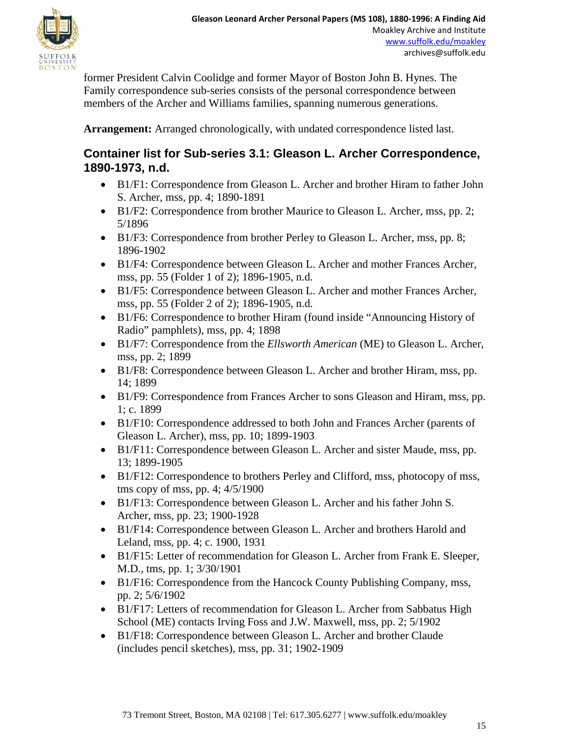

former President Calvin Coolidge and former Mayor of Boston John B. Hynes. The Family correspondence sub-series consists of the personal correspondence between members of the Archer and Williams families, spanning numerous generations.

**Arrangement:** Arranged chronologically, with undated correspondence listed last.

### **Container list for Sub-series 3.1: Gleason L. Archer Correspondence, 1890-1973, n.d.**

- B1/F1: Correspondence from Gleason L. Archer and brother Hiram to father John S. Archer, mss, pp. 4; 1890-1891
- B1/F2: Correspondence from brother Maurice to Gleason L. Archer, mss, pp. 2; 5/1896
- B1/F3: Correspondence from brother Perley to Gleason L. Archer, mss, pp. 8; 1896-1902
- B1/F4: Correspondence between Gleason L. Archer and mother Frances Archer, mss, pp. 55 (Folder 1 of 2); 1896-1905, n.d.
- B1/F5: Correspondence between Gleason L. Archer and mother Frances Archer, mss, pp. 55 (Folder 2 of 2); 1896-1905, n.d.
- B1/F6: Correspondence to brother Hiram (found inside "Announcing History of Radio" pamphlets), mss, pp. 4; 1898
- B1/F7: Correspondence from the *Ellsworth American* (ME) to Gleason L. Archer, mss, pp. 2; 1899
- B1/F8: Correspondence between Gleason L. Archer and brother Hiram, mss, pp. 14; 1899
- B1/F9: Correspondence from Frances Archer to sons Gleason and Hiram, mss, pp. 1; c. 1899
- B1/F10: Correspondence addressed to both John and Frances Archer (parents of Gleason L. Archer), mss, pp. 10; 1899-1903
- B1/F11: Correspondence between Gleason L. Archer and sister Maude, mss, pp. 13; 1899-1905
- B1/F12: Correspondence to brothers Perley and Clifford, mss, photocopy of mss, tms copy of mss, pp. 4; 4/5/1900
- B1/F13: Correspondence between Gleason L. Archer and his father John S. Archer, mss, pp. 23; 1900-1928
- B1/F14: Correspondence between Gleason L. Archer and brothers Harold and Leland, mss, pp. 4; c. 1900, 1931
- B1/F15: Letter of recommendation for Gleason L. Archer from Frank E. Sleeper, M.D., tms, pp. 1; 3/30/1901
- B1/F16: Correspondence from the Hancock County Publishing Company, mss, pp. 2; 5/6/1902
- B1/F17: Letters of recommendation for Gleason L. Archer from Sabbatus High School (ME) contacts Irving Foss and J.W. Maxwell, mss, pp. 2; 5/1902
- B1/F18: Correspondence between Gleason L. Archer and brother Claude (includes pencil sketches), mss, pp. 31; 1902-1909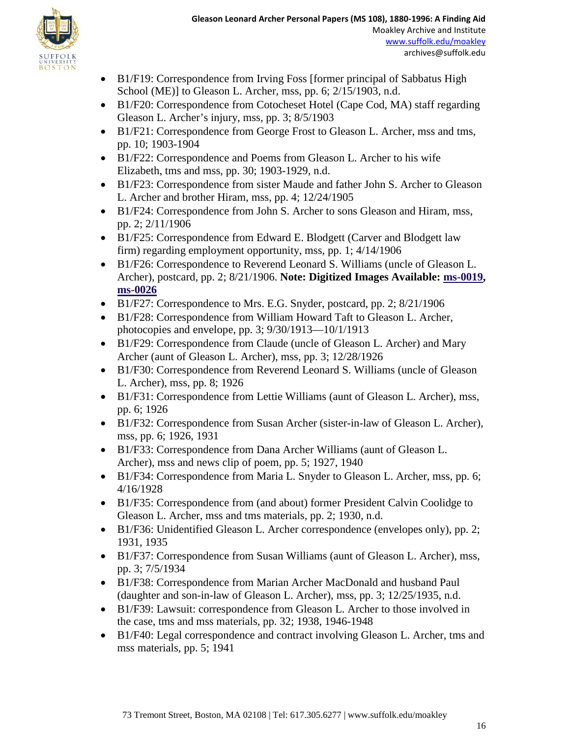

- B1/F19: Correspondence from Irving Foss [former principal of Sabbatus High School (ME)] to Gleason L. Archer, mss, pp. 6; 2/15/1903, n.d.
- B1/F20: Correspondence from Cotocheset Hotel (Cape Cod, MA) staff regarding Gleason L. Archer's injury, mss, pp. 3; 8/5/1903
- B1/F21: Correspondence from George Frost to Gleason L. Archer, mss and tms, pp. 10; 1903-1904
- B1/F22: Correspondence and Poems from Gleason L. Archer to his wife Elizabeth, tms and mss, pp. 30; 1903-1929, n.d.
- B1/F23: Correspondence from sister Maude and father John S. Archer to Gleason L. Archer and brother Hiram, mss, pp. 4; 12/24/1905
- B1/F24: Correspondence from John S. Archer to sons Gleason and Hiram, mss, pp. 2; 2/11/1906
- B1/F25: Correspondence from Edward E. Blodgett (Carver and Blodgett law firm) regarding employment opportunity, mss, pp. 1; 4/14/1906
- B1/F26: Correspondence to Reverend Leonard S. Williams (uncle of Gleason L. Archer), postcard, pp. 2; 8/21/1906. **Note: Digitized Images Available: [ms-0019,](http://moakleyarchive.omeka.net/items/show/339) [ms-0026](http://moakleyarchive.omeka.net/items/show/346)**
- B1/F27: Correspondence to Mrs. E.G. Snyder, postcard, pp. 2; 8/21/1906
- B1/F28: Correspondence from William Howard Taft to Gleason L. Archer, photocopies and envelope, pp. 3; 9/30/1913—10/1/1913
- B1/F29: Correspondence from Claude (uncle of Gleason L. Archer) and Mary Archer (aunt of Gleason L. Archer), mss, pp. 3; 12/28/1926
- B1/F30: Correspondence from Reverend Leonard S. Williams (uncle of Gleason L. Archer), mss, pp. 8; 1926
- B1/F31: Correspondence from Lettie Williams (aunt of Gleason L. Archer), mss, pp. 6; 1926
- B1/F32: Correspondence from Susan Archer (sister-in-law of Gleason L. Archer), mss, pp. 6; 1926, 1931
- B1/F33: Correspondence from Dana Archer Williams (aunt of Gleason L. Archer), mss and news clip of poem, pp. 5; 1927, 1940
- B1/F34: Correspondence from Maria L. Snyder to Gleason L. Archer, mss, pp. 6; 4/16/1928
- B1/F35: Correspondence from (and about) former President Calvin Coolidge to Gleason L. Archer, mss and tms materials, pp. 2; 1930, n.d.
- B1/F36: Unidentified Gleason L. Archer correspondence (envelopes only), pp. 2; 1931, 1935
- B1/F37: Correspondence from Susan Williams (aunt of Gleason L. Archer), mss, pp. 3; 7/5/1934
- B1/F38: Correspondence from Marian Archer MacDonald and husband Paul (daughter and son-in-law of Gleason L. Archer), mss, pp. 3; 12/25/1935, n.d.
- B1/F39: Lawsuit: correspondence from Gleason L. Archer to those involved in the case, tms and mss materials, pp. 32; 1938, 1946-1948
- B1/F40: Legal correspondence and contract involving Gleason L. Archer, tms and mss materials, pp. 5; 1941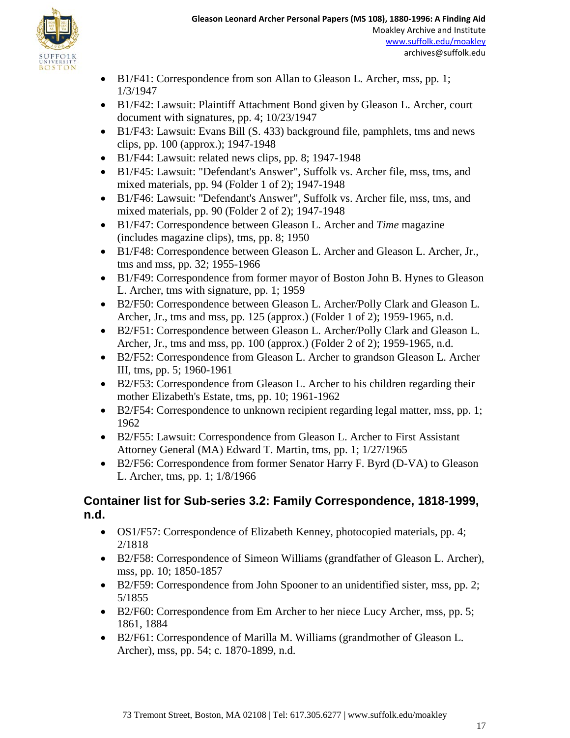- B1/F41: Correspondence from son Allan to Gleason L. Archer, mss, pp. 1; 1/3/1947
- B1/F42: Lawsuit: Plaintiff Attachment Bond given by Gleason L. Archer, court document with signatures, pp. 4; 10/23/1947
- B1/F43: Lawsuit: Evans Bill (S. 433) background file, pamphlets, tms and news clips, pp. 100 (approx.); 1947-1948
- B1/F44: Lawsuit: related news clips, pp. 8; 1947-1948
- B1/F45: Lawsuit: "Defendant's Answer", Suffolk vs. Archer file, mss, tms, and mixed materials, pp. 94 (Folder 1 of 2); 1947-1948
- B1/F46: Lawsuit: "Defendant's Answer", Suffolk vs. Archer file, mss, tms, and mixed materials, pp. 90 (Folder 2 of 2); 1947-1948
- B1/F47: Correspondence between Gleason L. Archer and *Time* magazine (includes magazine clips), tms, pp. 8; 1950
- B1/F48: Correspondence between Gleason L. Archer and Gleason L. Archer, Jr., tms and mss, pp. 32; 1955-1966
- B1/F49: Correspondence from former mayor of Boston John B. Hynes to Gleason L. Archer, tms with signature, pp. 1; 1959
- B2/F50: Correspondence between Gleason L. Archer/Polly Clark and Gleason L. Archer, Jr., tms and mss, pp. 125 (approx.) (Folder 1 of 2); 1959-1965, n.d.
- B2/F51: Correspondence between Gleason L. Archer/Polly Clark and Gleason L. Archer, Jr., tms and mss, pp. 100 (approx.) (Folder 2 of 2); 1959-1965, n.d.
- B2/F52: Correspondence from Gleason L. Archer to grandson Gleason L. Archer III, tms, pp. 5; 1960-1961
- B2/F53: Correspondence from Gleason L. Archer to his children regarding their mother Elizabeth's Estate, tms, pp. 10; 1961-1962
- B2/F54: Correspondence to unknown recipient regarding legal matter, mss, pp. 1; 1962
- B2/F55: Lawsuit: Correspondence from Gleason L. Archer to First Assistant Attorney General (MA) Edward T. Martin, tms, pp. 1; 1/27/1965
- B2/F56: Correspondence from former Senator Harry F. Byrd (D-VA) to Gleason L. Archer, tms, pp. 1; 1/8/1966

### **Container list for Sub-series 3.2: Family Correspondence, 1818-1999, n.d.**

- OS1/F57: Correspondence of Elizabeth Kenney, photocopied materials, pp. 4; 2/1818
- B2/F58: Correspondence of Simeon Williams (grandfather of Gleason L. Archer), mss, pp. 10; 1850-1857
- B2/F59: Correspondence from John Spooner to an unidentified sister, mss, pp. 2; 5/1855
- B2/F60: Correspondence from Em Archer to her niece Lucy Archer, mss, pp. 5; 1861, 1884
- B2/F61: Correspondence of Marilla M. Williams (grandmother of Gleason L. Archer), mss, pp. 54; c. 1870-1899, n.d.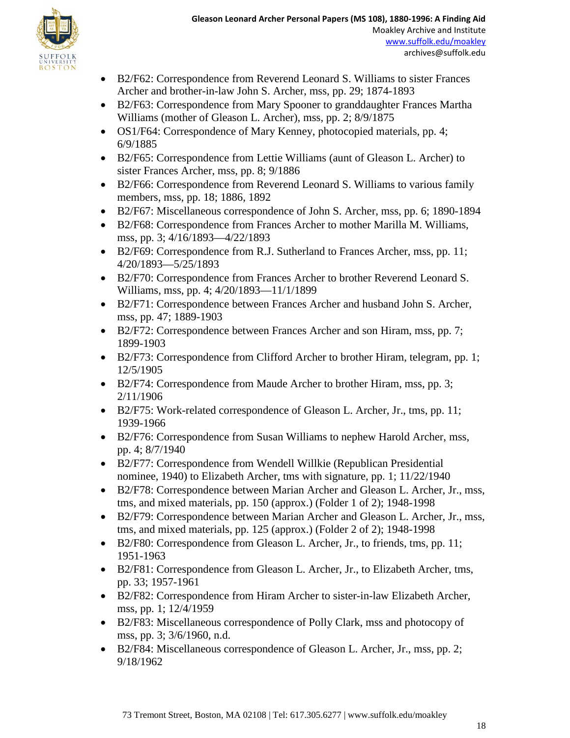- B2/F62: Correspondence from Reverend Leonard S. Williams to sister Frances Archer and brother-in-law John S. Archer, mss, pp. 29; 1874-1893
- B2/F63: Correspondence from Mary Spooner to granddaughter Frances Martha Williams (mother of Gleason L. Archer), mss, pp. 2; 8/9/1875
- OS1/F64: Correspondence of Mary Kenney, photocopied materials, pp. 4; 6/9/1885
- B2/F65: Correspondence from Lettie Williams (aunt of Gleason L. Archer) to sister Frances Archer, mss, pp. 8; 9/1886
- B2/F66: Correspondence from Reverend Leonard S. Williams to various family members, mss, pp. 18; 1886, 1892
- B2/F67: Miscellaneous correspondence of John S. Archer, mss, pp. 6; 1890-1894
- B2/F68: Correspondence from Frances Archer to mother Marilla M. Williams, mss, pp. 3; 4/16/1893—4/22/1893
- B2/F69: Correspondence from R.J. Sutherland to Frances Archer, mss, pp. 11; 4/20/1893—5/25/1893
- B2/F70: Correspondence from Frances Archer to brother Reverend Leonard S. Williams, mss, pp. 4; 4/20/1893—11/1/1899
- B2/F71: Correspondence between Frances Archer and husband John S. Archer, mss, pp. 47; 1889-1903
- B2/F72: Correspondence between Frances Archer and son Hiram, mss, pp. 7; 1899-1903
- B2/F73: Correspondence from Clifford Archer to brother Hiram, telegram, pp. 1; 12/5/1905
- B2/F74: Correspondence from Maude Archer to brother Hiram, mss, pp. 3; 2/11/1906
- B2/F75: Work-related correspondence of Gleason L. Archer, Jr., tms, pp. 11; 1939-1966
- B2/F76: Correspondence from Susan Williams to nephew Harold Archer, mss, pp. 4; 8/7/1940
- B2/F77: Correspondence from Wendell Willkie (Republican Presidential nominee, 1940) to Elizabeth Archer, tms with signature, pp. 1; 11/22/1940
- B2/F78: Correspondence between Marian Archer and Gleason L. Archer, Jr., mss, tms, and mixed materials, pp. 150 (approx.) (Folder 1 of 2); 1948-1998
- B2/F79: Correspondence between Marian Archer and Gleason L. Archer, Jr., mss, tms, and mixed materials, pp. 125 (approx.) (Folder 2 of 2); 1948-1998
- B2/F80: Correspondence from Gleason L. Archer, Jr., to friends, tms, pp. 11; 1951-1963
- B2/F81: Correspondence from Gleason L. Archer, Jr., to Elizabeth Archer, tms, pp. 33; 1957-1961
- B2/F82: Correspondence from Hiram Archer to sister-in-law Elizabeth Archer, mss, pp. 1; 12/4/1959
- B2/F83: Miscellaneous correspondence of Polly Clark, mss and photocopy of mss, pp. 3; 3/6/1960, n.d.
- B2/F84: Miscellaneous correspondence of Gleason L. Archer, Jr., mss, pp. 2; 9/18/1962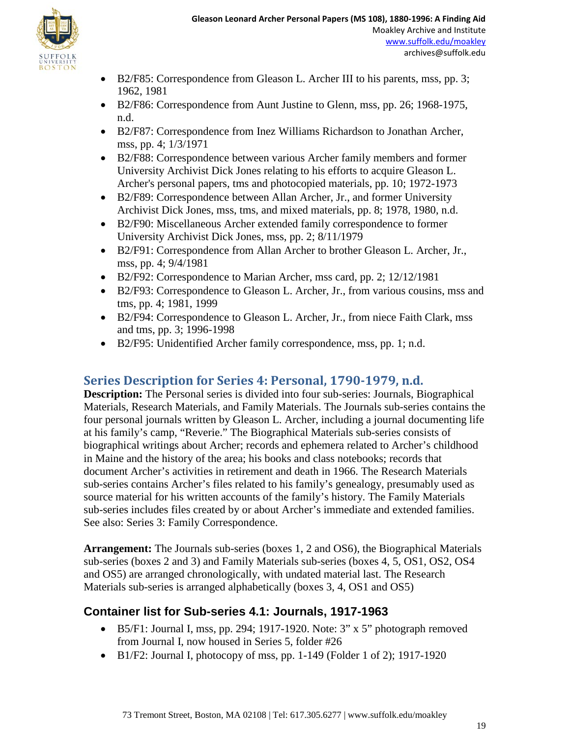

- B2/F85: Correspondence from Gleason L. Archer III to his parents, mss, pp. 3; 1962, 1981
- B2/F86: Correspondence from Aunt Justine to Glenn, mss, pp. 26; 1968-1975, n.d.
- B2/F87: Correspondence from Inez Williams Richardson to Jonathan Archer, mss, pp. 4; 1/3/1971
- B2/F88: Correspondence between various Archer family members and former University Archivist Dick Jones relating to his efforts to acquire Gleason L. Archer's personal papers, tms and photocopied materials, pp. 10; 1972-1973
- B2/F89: Correspondence between Allan Archer, Jr., and former University Archivist Dick Jones, mss, tms, and mixed materials, pp. 8; 1978, 1980, n.d.
- B2/F90: Miscellaneous Archer extended family correspondence to former University Archivist Dick Jones, mss, pp. 2; 8/11/1979
- B2/F91: Correspondence from Allan Archer to brother Gleason L. Archer, Jr., mss, pp. 4; 9/4/1981
- B2/F92: Correspondence to Marian Archer, mss card, pp. 2; 12/12/1981
- B2/F93: Correspondence to Gleason L. Archer, Jr., from various cousins, mss and tms, pp. 4; 1981, 1999
- B2/F94: Correspondence to Gleason L. Archer, Jr., from niece Faith Clark, mss and tms, pp. 3; 1996-1998
- B2/F95: Unidentified Archer family correspondence, mss, pp. 1; n.d.

## **Series Description for Series 4: Personal, 1790-1979, n.d.**

**Description:** The Personal series is divided into four sub-series: Journals, Biographical Materials, Research Materials, and Family Materials. The Journals sub-series contains the four personal journals written by Gleason L. Archer, including a journal documenting life at his family's camp, "Reverie." The Biographical Materials sub-series consists of biographical writings about Archer; records and ephemera related to Archer's childhood in Maine and the history of the area; his books and class notebooks; records that document Archer's activities in retirement and death in 1966. The Research Materials sub-series contains Archer's files related to his family's genealogy, presumably used as source material for his written accounts of the family's history. The Family Materials sub-series includes files created by or about Archer's immediate and extended families. See also: Series 3: Family Correspondence.

**Arrangement:** The Journals sub-series (boxes 1, 2 and OS6), the Biographical Materials sub-series (boxes 2 and 3) and Family Materials sub-series (boxes 4, 5, OS1, OS2, OS4 and OS5) are arranged chronologically, with undated material last. The Research Materials sub-series is arranged alphabetically (boxes 3, 4, OS1 and OS5)

## **Container list for Sub-series 4.1: Journals, 1917-1963**

- B5/F1: Journal I, mss, pp. 294; 1917-1920. Note: 3" x 5" photograph removed from Journal I, now housed in Series 5, folder #26
- B1/F2: Journal I, photocopy of mss, pp. 1-149 (Folder 1 of 2); 1917-1920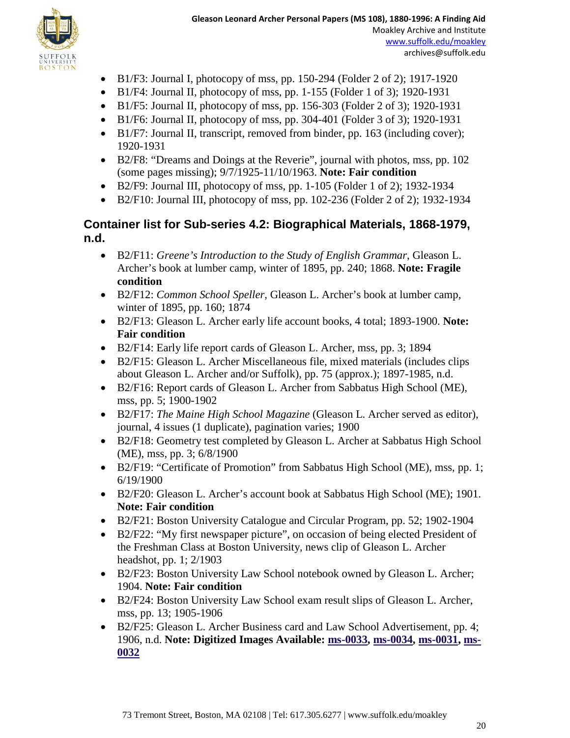

- B1/F3: Journal I, photocopy of mss, pp. 150-294 (Folder 2 of 2); 1917-1920
- B1/F4: Journal II, photocopy of mss, pp. 1-155 (Folder 1 of 3); 1920-1931
- B1/F5: Journal II, photocopy of mss, pp. 156-303 (Folder 2 of 3); 1920-1931
- B1/F6: Journal II, photocopy of mss, pp. 304-401 (Folder 3 of 3); 1920-1931
- B1/F7: Journal II, transcript, removed from binder, pp. 163 (including cover); 1920-1931
- B2/F8: "Dreams and Doings at the Reverie", journal with photos, mss, pp. 102 (some pages missing); 9/7/1925-11/10/1963. **Note: Fair condition**
- B2/F9: Journal III, photocopy of mss, pp. 1-105 (Folder 1 of 2); 1932-1934
- B2/F10: Journal III, photocopy of mss, pp. 102-236 (Folder 2 of 2); 1932-1934

#### **Container list for Sub-series 4.2: Biographical Materials, 1868-1979, n.d.**

- B2/F11: *Greene's Introduction to the Study of English Grammar*, Gleason L. Archer's book at lumber camp, winter of 1895, pp. 240; 1868. **Note: Fragile condition**
- B2/F12: *Common School Speller*, Gleason L. Archer's book at lumber camp, winter of 1895, pp. 160; 1874
- B2/F13: Gleason L. Archer early life account books, 4 total; 1893-1900. **Note: Fair condition**
- B2/F14: Early life report cards of Gleason L. Archer, mss, pp. 3; 1894
- B2/F15: Gleason L. Archer Miscellaneous file, mixed materials (includes clips about Gleason L. Archer and/or Suffolk), pp. 75 (approx.); 1897-1985, n.d.
- B2/F16: Report cards of Gleason L. Archer from Sabbatus High School (ME), mss, pp. 5; 1900-1902
- B2/F17: *The Maine High School Magazine* (Gleason L. Archer served as editor), journal, 4 issues (1 duplicate), pagination varies; 1900
- B2/F18: Geometry test completed by Gleason L. Archer at Sabbatus High School (ME), mss, pp. 3; 6/8/1900
- B2/F19: "Certificate of Promotion" from Sabbatus High School (ME), mss, pp. 1; 6/19/1900
- B2/F20: Gleason L. Archer's account book at Sabbatus High School (ME); 1901. **Note: Fair condition**
- B2/F21: Boston University Catalogue and Circular Program, pp. 52; 1902-1904
- B2/F22: "My first newspaper picture", on occasion of being elected President of the Freshman Class at Boston University, news clip of Gleason L. Archer headshot, pp. 1; 2/1903
- B2/F23: Boston University Law School notebook owned by Gleason L. Archer; 1904. **Note: Fair condition**
- B2/F24: Boston University Law School exam result slips of Gleason L. Archer, mss, pp. 13; 1905-1906
- B2/F25: Gleason L. Archer Business card and Law School Advertisement, pp. 4; 1906, n.d. **Note: Digitized Images Available: [ms-0033, ms-0034,](http://moakleyarchive.omeka.net/items/show/352) [ms-0031, ms-](http://moakleyarchive.omeka.net/items/show/351)[0032](http://moakleyarchive.omeka.net/items/show/351)**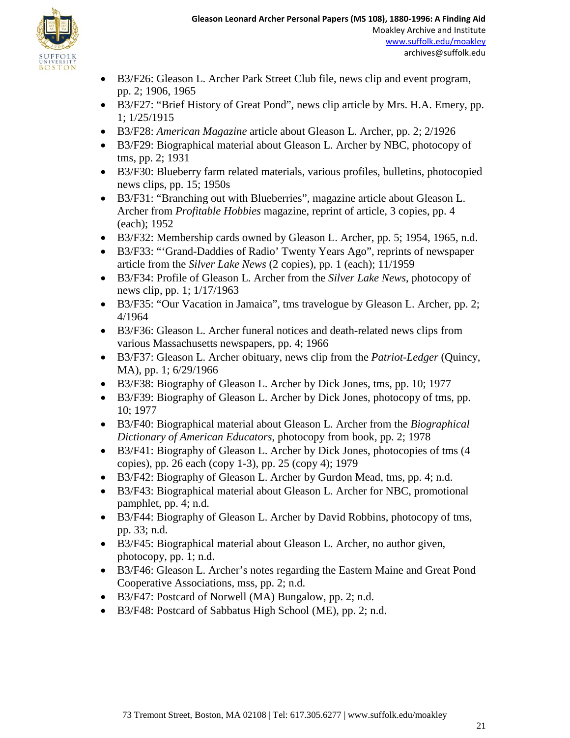

- B3/F26: Gleason L. Archer Park Street Club file, news clip and event program, pp. 2; 1906, 1965
- B3/F27: "Brief History of Great Pond", news clip article by Mrs. H.A. Emery, pp. 1; 1/25/1915
- B3/F28: *American Magazine* article about Gleason L. Archer, pp. 2; 2/1926
- B3/F29: Biographical material about Gleason L. Archer by NBC, photocopy of tms, pp. 2; 1931
- B3/F30: Blueberry farm related materials, various profiles, bulletins, photocopied news clips, pp. 15; 1950s
- B3/F31: "Branching out with Blueberries", magazine article about Gleason L. Archer from *Profitable Hobbies* magazine, reprint of article, 3 copies, pp. 4 (each); 1952
- B3/F32: Membership cards owned by Gleason L. Archer, pp. 5; 1954, 1965, n.d.
- B3/F33: "'Grand-Daddies of Radio' Twenty Years Ago", reprints of newspaper article from the *Silver Lake News* (2 copies), pp. 1 (each); 11/1959
- B3/F34: Profile of Gleason L. Archer from the *Silver Lake News*, photocopy of news clip, pp. 1; 1/17/1963
- B3/F35: "Our Vacation in Jamaica", tms travelogue by Gleason L. Archer, pp. 2; 4/1964
- B3/F36: Gleason L. Archer funeral notices and death-related news clips from various Massachusetts newspapers, pp. 4; 1966
- B3/F37: Gleason L. Archer obituary, news clip from the *Patriot-Ledger* (Quincy, MA), pp. 1; 6/29/1966
- B3/F38: Biography of Gleason L. Archer by Dick Jones, tms, pp. 10; 1977
- B3/F39: Biography of Gleason L. Archer by Dick Jones, photocopy of tms, pp. 10; 1977
- B3/F40: Biographical material about Gleason L. Archer from the *Biographical Dictionary of American Educators*, photocopy from book, pp. 2; 1978
- B3/F41: Biography of Gleason L. Archer by Dick Jones, photocopies of tms (4 copies), pp. 26 each (copy 1-3), pp. 25 (copy 4); 1979
- B3/F42: Biography of Gleason L. Archer by Gurdon Mead, tms, pp. 4; n.d.
- B3/F43: Biographical material about Gleason L. Archer for NBC, promotional pamphlet, pp. 4; n.d.
- B3/F44: Biography of Gleason L. Archer by David Robbins, photocopy of tms, pp. 33; n.d.
- B3/F45: Biographical material about Gleason L. Archer, no author given, photocopy, pp. 1; n.d.
- B3/F46: Gleason L. Archer's notes regarding the Eastern Maine and Great Pond Cooperative Associations, mss, pp. 2; n.d.
- B3/F47: Postcard of Norwell (MA) Bungalow, pp. 2; n.d.
- B3/F48: Postcard of Sabbatus High School (ME), pp. 2; n.d.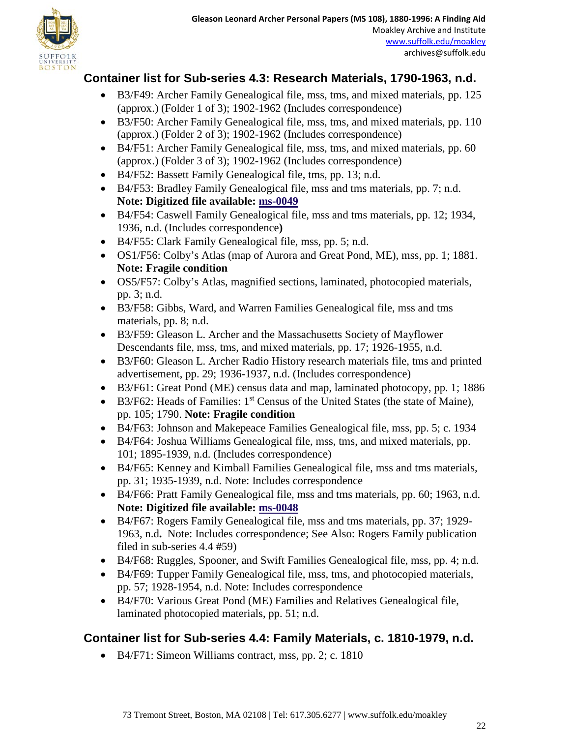## **Container list for Sub-series 4.3: Research Materials, 1790-1963, n.d.**

- B3/F49: Archer Family Genealogical file, mss, tms, and mixed materials, pp. 125 (approx.) (Folder 1 of 3); 1902-1962 (Includes correspondence)
- B3/F50: Archer Family Genealogical file, mss, tms, and mixed materials, pp. 110 (approx.) (Folder 2 of 3); 1902-1962 (Includes correspondence)
- B4/F51: Archer Family Genealogical file, mss, tms, and mixed materials, pp. 60 (approx.) (Folder 3 of 3); 1902-1962 (Includes correspondence)
- B4/F52: Bassett Family Genealogical file, tms, pp. 13; n.d.
- B4/F53: Bradley Family Genealogical file, mss and tms materials, pp. 7; n.d. **Note: Digitized file available: [ms-0049](http://moakleyarchive.omeka.net/items/show/367)**
- B4/F54: Caswell Family Genealogical file, mss and tms materials, pp. 12; 1934, 1936, n.d. (Includes correspondence**)**
- B4/F55: Clark Family Genealogical file, mss, pp. 5; n.d.
- OS1/F56: Colby's Atlas (map of Aurora and Great Pond, ME), mss, pp. 1; 1881. **Note: Fragile condition**
- OS5/F57: Colby's Atlas, magnified sections, laminated, photocopied materials, pp. 3; n.d.
- B3/F58: Gibbs, Ward, and Warren Families Genealogical file, mss and tms materials, pp. 8; n.d.
- B3/F59: Gleason L. Archer and the Massachusetts Society of Mayflower Descendants file, mss, tms, and mixed materials, pp. 17; 1926-1955, n.d.
- B3/F60: Gleason L. Archer Radio History research materials file, tms and printed advertisement, pp. 29; 1936-1937, n.d. (Includes correspondence)
- B3/F61: Great Pond (ME) census data and map, laminated photocopy, pp. 1; 1886
- B3/F62: Heads of Families: 1<sup>st</sup> Census of the United States (the state of Maine), pp. 105; 1790. **Note: Fragile condition**
- B4/F63: Johnson and Makepeace Families Genealogical file, mss, pp. 5; c. 1934
- B4/F64: Joshua Williams Genealogical file, mss, tms, and mixed materials, pp. 101; 1895-1939, n.d. (Includes correspondence)
- B4/F65: Kenney and Kimball Families Genealogical file, mss and tms materials, pp. 31; 1935-1939, n.d. Note: Includes correspondence
- B4/F66: Pratt Family Genealogical file, mss and tms materials, pp. 60; 1963, n.d. **Note: Digitized file available: [ms-0048](http://moakleyarchive.omeka.net/items/show/366)**
- B4/F67: Rogers Family Genealogical file, mss and tms materials, pp. 37; 1929- 1963, n.d**.** Note: Includes correspondence; See Also: Rogers Family publication filed in sub-series 4.4 #59)
- B4/F68: Ruggles, Spooner, and Swift Families Genealogical file, mss, pp. 4; n.d.
- B4/F69: Tupper Family Genealogical file, mss, tms, and photocopied materials, pp. 57; 1928-1954, n.d. Note: Includes correspondence
- B4/F70: Various Great Pond (ME) Families and Relatives Genealogical file, laminated photocopied materials, pp. 51; n.d.

## **Container list for Sub-series 4.4: Family Materials, c. 1810-1979, n.d.**

• B4/F71: Simeon Williams contract, mss, pp. 2; c. 1810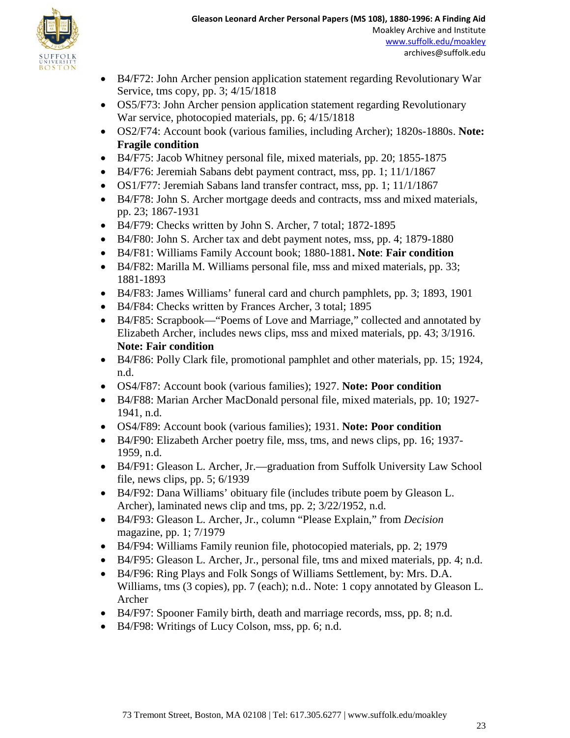

- B4/F72: John Archer pension application statement regarding Revolutionary War Service, tms copy, pp. 3; 4/15/1818
- OS5/F73: John Archer pension application statement regarding Revolutionary War service, photocopied materials, pp. 6; 4/15/1818
- OS2/F74: Account book (various families, including Archer); 1820s-1880s. **Note: Fragile condition**
- B4/F75: Jacob Whitney personal file, mixed materials, pp. 20; 1855-1875
- B4/F76: Jeremiah Sabans debt payment contract, mss, pp. 1; 11/1/1867
- OS1/F77: Jeremiah Sabans land transfer contract, mss, pp. 1; 11/1/1867
- B4/F78: John S. Archer mortgage deeds and contracts, mss and mixed materials, pp. 23; 1867-1931
- B4/F79: Checks written by John S. Archer, 7 total; 1872-1895
- B4/F80: John S. Archer tax and debt payment notes, mss, pp. 4; 1879-1880
- B4/F81: Williams Family Account book; 1880-1881**. Note**: **Fair condition**
- B4/F82: Marilla M. Williams personal file, mss and mixed materials, pp. 33; 1881-1893
- B4/F83: James Williams' funeral card and church pamphlets, pp. 3; 1893, 1901
- B4/F84: Checks written by Frances Archer, 3 total; 1895
- B4/F85: Scrapbook—"Poems of Love and Marriage," collected and annotated by Elizabeth Archer, includes news clips, mss and mixed materials, pp. 43; 3/1916. **Note: Fair condition**
- B4/F86: Polly Clark file, promotional pamphlet and other materials, pp. 15; 1924, n.d.
- OS4/F87: Account book (various families); 1927. **Note: Poor condition**
- B4/F88: Marian Archer MacDonald personal file, mixed materials, pp. 10; 1927- 1941, n.d.
- OS4/F89: Account book (various families); 1931. **Note: Poor condition**
- B4/F90: Elizabeth Archer poetry file, mss, tms, and news clips, pp. 16; 1937- 1959, n.d.
- B4/F91: Gleason L. Archer, Jr.—graduation from Suffolk University Law School file, news clips, pp. 5; 6/1939
- B4/F92: Dana Williams' obituary file (includes tribute poem by Gleason L. Archer), laminated news clip and tms, pp. 2; 3/22/1952, n.d.
- B4/F93: Gleason L. Archer, Jr., column "Please Explain," from *Decision* magazine, pp. 1; 7/1979
- B4/F94: Williams Family reunion file, photocopied materials, pp. 2; 1979
- B4/F95: Gleason L. Archer, Jr., personal file, tms and mixed materials, pp. 4; n.d.
- B4/F96: Ring Plays and Folk Songs of Williams Settlement, by: Mrs. D.A. Williams, tms (3 copies), pp. 7 (each); n.d.. Note: 1 copy annotated by Gleason L. Archer
- B4/F97: Spooner Family birth, death and marriage records, mss, pp. 8; n.d.
- B4/F98: Writings of Lucy Colson, mss, pp. 6; n.d.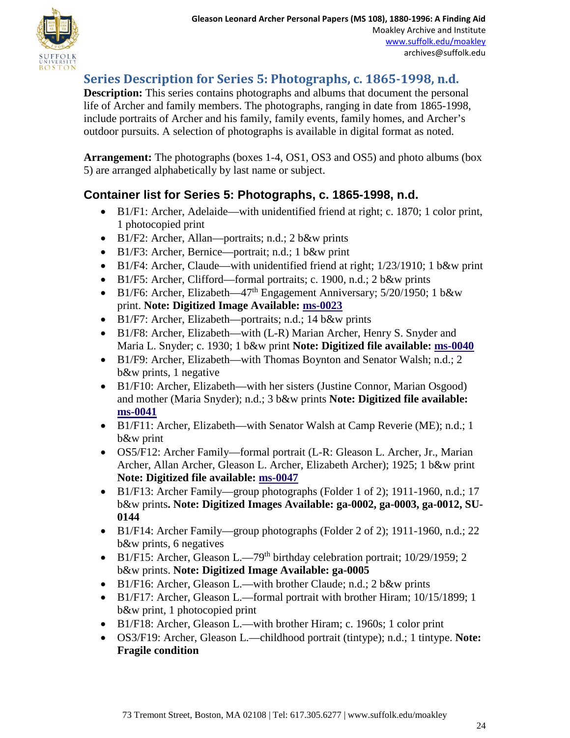

## **Series Description for Series 5: Photographs, c. 1865-1998, n.d.**

**Description:** This series contains photographs and albums that document the personal life of Archer and family members. The photographs, ranging in date from 1865-1998, include portraits of Archer and his family, family events, family homes, and Archer's outdoor pursuits. A selection of photographs is available in digital format as noted.

**Arrangement:** The photographs (boxes 1-4, OS1, OS3 and OS5) and photo albums (box 5) are arranged alphabetically by last name or subject.

## **Container list for Series 5: Photographs, c. 1865-1998, n.d.**

- B1/F1: Archer, Adelaide—with unidentified friend at right; c. 1870; 1 color print, 1 photocopied print
- B1/F2: Archer, Allan—portraits; n.d.; 2 b&w prints
- B1/F3: Archer, Bernice—portrait; n.d.; 1 b&w print
- B1/F4: Archer, Claude—with unidentified friend at right; 1/23/1910; 1 b&w print
- B1/F5: Archer, Clifford—formal portraits; c. 1900, n.d.; 2 b&w prints
- B1/F6: Archer, Elizabeth—47<sup>th</sup> Engagement Anniversary;  $5/20/1950$ ; 1 b&w print. **Note: Digitized Image Available: [ms-0023](http://moakleyarchive.omeka.net/items/show/343)**
- B1/F7: Archer, Elizabeth—portraits; n.d.; 14 b&w prints
- B1/F8: Archer, Elizabeth—with (L-R) Marian Archer, Henry S. Snyder and Maria L. Snyder; c. 1930; 1 b&w print **Note: Digitized file available: [ms-0040](http://moakleyarchive.omeka.net/items/show/358)**
- B1/F9: Archer, Elizabeth—with Thomas Boynton and Senator Walsh; n.d.; 2 b&w prints, 1 negative
- B1/F10: Archer, Elizabeth—with her sisters (Justine Connor, Marian Osgood) and mother (Maria Snyder); n.d.; 3 b&w prints **Note: Digitized file available: [ms-0041](http://moakleyarchive.omeka.net/items/show/359)**
- B1/F11: Archer, Elizabeth—with Senator Walsh at Camp Reverie (ME); n.d.; 1 b&w print
- OS5/F12: Archer Family—formal portrait (L-R: Gleason L. Archer, Jr., Marian Archer, Allan Archer, Gleason L. Archer, Elizabeth Archer); 1925; 1 b&w print **Note: Digitized file available: [ms-0047](http://moakleyarchive.omeka.net/items/show/365)**
- B1/F13: Archer Family—group photographs (Folder 1 of 2); 1911-1960, n.d.; 17 b&w prints**. Note: Digitized Images Available: ga-0002, ga-0003, ga-0012, SU-0144**
- B1/F14: Archer Family—group photographs (Folder 2 of 2); 1911-1960, n.d.; 22 b&w prints, 6 negatives
- B1/F15: Archer, Gleason L.—79<sup>th</sup> birthday celebration portrait; 10/29/1959; 2 b&w prints. **Note: Digitized Image Available: ga-0005**
- B1/F16: Archer, Gleason L.—with brother Claude; n.d.; 2 b&w prints
- B1/F17: Archer, Gleason L.—formal portrait with brother Hiram; 10/15/1899; 1 b&w print, 1 photocopied print
- B1/F18: Archer, Gleason L.—with brother Hiram; c. 1960s; 1 color print
- OS3/F19: Archer, Gleason L.—childhood portrait (tintype); n.d.; 1 tintype. **Note: Fragile condition**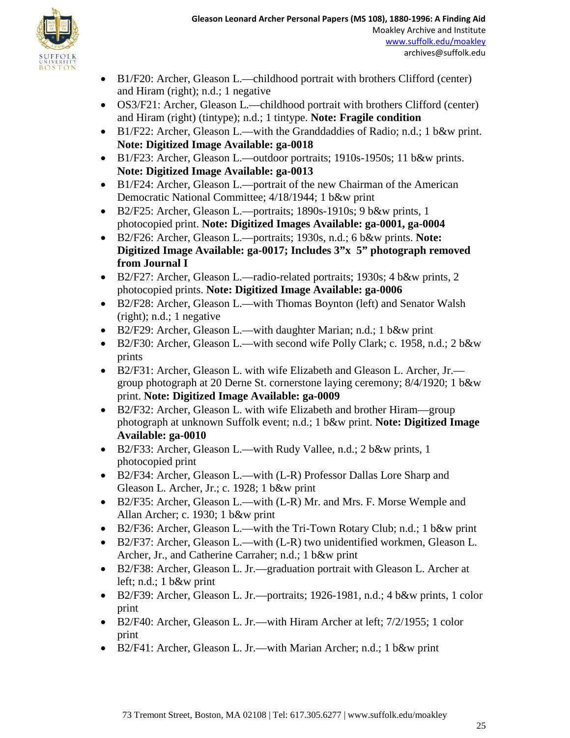

- B1/F20: Archer, Gleason L.—childhood portrait with brothers Clifford (center) and Hiram (right); n.d.; 1 negative
- OS3/F21: Archer, Gleason L.—childhood portrait with brothers Clifford (center) and Hiram (right) (tintype); n.d.; 1 tintype. **Note: Fragile condition**
- B1/F22: Archer, Gleason L.—with the Granddaddies of Radio; n.d.; 1 b&w print. **Note: Digitized Image Available: ga-0018**
- B1/F23: Archer, Gleason L.—outdoor portraits; 1910s-1950s; 11 b&w prints. **Note: Digitized Image Available: ga-0013**
- B1/F24: Archer, Gleason L.—portrait of the new Chairman of the American Democratic National Committee; 4/18/1944; 1 b&w print
- B2/F25: Archer, Gleason L.—portraits; 1890s-1910s; 9 b&w prints, 1 photocopied print. **Note: Digitized Images Available: ga-0001, ga-0004**
- B2/F26: Archer, Gleason L.—portraits; 1930s, n.d.; 6 b&w prints. **Note: Digitized Image Available: ga-0017; Includes 3"x 5" photograph removed from Journal I**
- B2/F27: Archer, Gleason L.—radio-related portraits; 1930s; 4 b&w prints, 2 photocopied prints. **Note: Digitized Image Available: ga-0006**
- B2/F28: Archer, Gleason L.—with Thomas Boynton (left) and Senator Walsh (right); n.d.; 1 negative
- B2/F29: Archer, Gleason L.—with daughter Marian; n.d.; 1 b&w print
- B2/F30: Archer, Gleason L.—with second wife Polly Clark; c. 1958, n.d.; 2 b&w prints
- B2/F31: Archer, Gleason L. with wife Elizabeth and Gleason L. Archer, Jr. group photograph at 20 Derne St. cornerstone laying ceremony; 8/4/1920; 1 b&w print. **Note: Digitized Image Available: ga-0009**
- B2/F32: Archer, Gleason L. with wife Elizabeth and brother Hiram—group photograph at unknown Suffolk event; n.d.; 1 b&w print. **Note: Digitized Image Available: ga-0010**
- B2/F33: Archer, Gleason L.—with Rudy Vallee, n.d.; 2 b&w prints, 1 photocopied print
- B2/F34: Archer, Gleason L.—with (L-R) Professor Dallas Lore Sharp and Gleason L. Archer, Jr.; c. 1928; 1 b&w print
- B2/F35: Archer, Gleason L.—with (L-R) Mr. and Mrs. F. Morse Wemple and Allan Archer; c. 1930; 1 b&w print
- B2/F36: Archer, Gleason L.—with the Tri-Town Rotary Club; n.d.; 1 b&w print
- B2/F37: Archer, Gleason L.—with (L-R) two unidentified workmen, Gleason L. Archer, Jr., and Catherine Carraher; n.d.; 1 b&w print
- B2/F38: Archer, Gleason L. Jr.—graduation portrait with Gleason L. Archer at left; n.d.; 1 b&w print
- B2/F39: Archer, Gleason L. Jr.—portraits; 1926-1981, n.d.; 4 b&w prints, 1 color print
- B2/F40: Archer, Gleason L. Jr.—with Hiram Archer at left; 7/2/1955; 1 color print
- B2/F41: Archer, Gleason L. Jr.—with Marian Archer; n.d.; 1 b&w print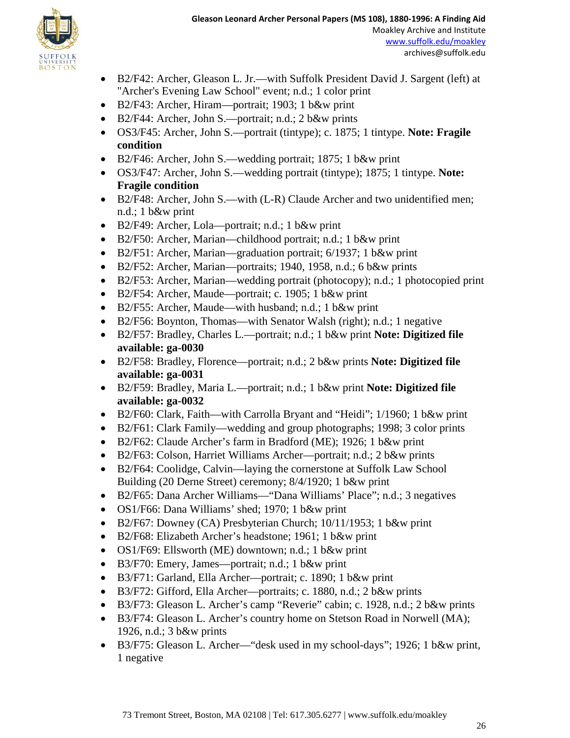

- B2/F42: Archer, Gleason L. Jr.—with Suffolk President David J. Sargent (left) at "Archer's Evening Law School" event; n.d.; 1 color print
- B2/F43: Archer, Hiram—portrait; 1903; 1 b&w print
- B2/F44: Archer, John S.—portrait; n.d.; 2 b&w prints
- OS3/F45: Archer, John S.—portrait (tintype); c. 1875; 1 tintype. **Note: Fragile condition**
- B2/F46: Archer, John S.—wedding portrait; 1875; 1 b&w print
- OS3/F47: Archer, John S.—wedding portrait (tintype); 1875; 1 tintype. **Note: Fragile condition**
- B2/F48: Archer, John S.—with (L-R) Claude Archer and two unidentified men; n.d.; 1 b&w print
- B2/F49: Archer, Lola—portrait; n.d.; 1 b&w print
- B2/F50: Archer, Marian—childhood portrait; n.d.; 1 b&w print
- B2/F51: Archer, Marian—graduation portrait; 6/1937; 1 b&w print
- B2/F52: Archer, Marian—portraits; 1940, 1958, n.d.; 6 b&w prints
- B2/F53: Archer, Marian—wedding portrait (photocopy); n.d.; 1 photocopied print
- B2/F54: Archer, Maude—portrait; c. 1905; 1 b&w print
- B2/F55: Archer, Maude—with husband; n.d.; 1 b&w print
- B2/F56: Boynton, Thomas—with Senator Walsh (right); n.d.; 1 negative
- B2/F57: Bradley, Charles L.—portrait; n.d.; 1 b&w print **Note: Digitized file available: ga-0030**
- B2/F58: Bradley, Florence—portrait; n.d.; 2 b&w prints **Note: Digitized file available: ga-0031**
- B2/F59: Bradley, Maria L.—portrait; n.d.; 1 b&w print **Note: Digitized file available: ga-0032**
- B2/F60: Clark, Faith—with Carrolla Bryant and "Heidi"; 1/1960; 1 b&w print
- B2/F61: Clark Family—wedding and group photographs; 1998; 3 color prints
- B2/F62: Claude Archer's farm in Bradford (ME); 1926; 1 b&w print
- B2/F63: Colson, Harriet Williams Archer—portrait; n.d.; 2 b&w prints
- B2/F64: Coolidge, Calvin—laying the cornerstone at Suffolk Law School Building (20 Derne Street) ceremony; 8/4/1920; 1 b&w print
- B2/F65: Dana Archer Williams—"Dana Williams' Place"; n.d.; 3 negatives
- OS1/F66: Dana Williams' shed; 1970; 1 b&w print
- B2/F67: Downey (CA) Presbyterian Church; 10/11/1953; 1 b&w print
- B2/F68: Elizabeth Archer's headstone; 1961; 1 b&w print
- OS1/F69: Ellsworth (ME) downtown; n.d.; 1 b&w print
- B3/F70: Emery, James—portrait; n.d.; 1 b&w print
- B3/F71: Garland, Ella Archer—portrait; c. 1890; 1 b&w print
- B3/F72: Gifford, Ella Archer—portraits; c. 1880, n.d.; 2 b&w prints
- B3/F73: Gleason L. Archer's camp "Reverie" cabin; c. 1928, n.d.; 2 b&w prints
- B3/F74: Gleason L. Archer's country home on Stetson Road in Norwell (MA); 1926, n.d.; 3 b&w prints
- B3/F75: Gleason L. Archer—"desk used in my school-days"; 1926; 1 b&w print, 1 negative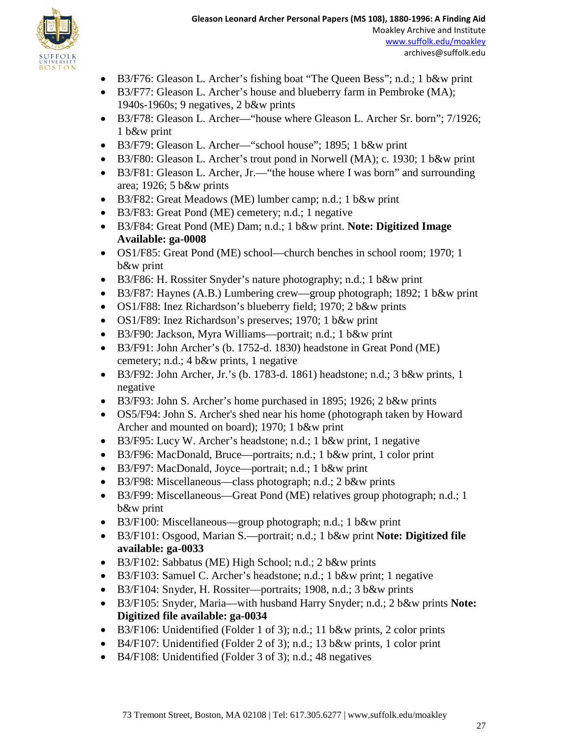

- B3/F76: Gleason L. Archer's fishing boat "The Queen Bess"; n.d.; 1 b&w print
- B3/F77: Gleason L. Archer's house and blueberry farm in Pembroke (MA); 1940s-1960s; 9 negatives, 2 b&w prints
- B3/F78: Gleason L. Archer—"house where Gleason L. Archer Sr. born"; 7/1926; 1 b&w print
- B3/F79: Gleason L. Archer—"school house"; 1895; 1 b&w print
- B3/F80: Gleason L. Archer's trout pond in Norwell (MA); c. 1930; 1 b&w print
- B3/F81: Gleason L. Archer, Jr.— "the house where I was born" and surrounding area; 1926; 5 b&w prints
- B3/F82: Great Meadows (ME) lumber camp; n.d.; 1 b&w print
- B3/F83: Great Pond (ME) cemetery; n.d.; 1 negative
- B3/F84: Great Pond (ME) Dam; n.d.; 1 b&w print. **Note: Digitized Image Available: ga-0008**
- OS1/F85: Great Pond (ME) school—church benches in school room; 1970; 1 b&w print
- B3/F86: H. Rossiter Snyder's nature photography; n.d.; 1 b&w print
- B3/F87: Haynes (A.B.) Lumbering crew—group photograph; 1892; 1 b&w print
- OS1/F88: Inez Richardson's blueberry field; 1970; 2 b&w prints
- OS1/F89: Inez Richardson's preserves; 1970; 1 b&w print
- B3/F90: Jackson, Myra Williams—portrait; n.d.; 1 b&w print
- B3/F91: John Archer's (b. 1752-d. 1830) headstone in Great Pond (ME) cemetery; n.d.; 4 b&w prints, 1 negative
- B3/F92: John Archer, Jr.'s (b. 1783-d. 1861) headstone; n.d.;  $3$  b&w prints, 1 negative
- B3/F93: John S. Archer's home purchased in 1895; 1926; 2 b&w prints
- OS5/F94: John S. Archer's shed near his home (photograph taken by Howard Archer and mounted on board); 1970; 1 b&w print
- B3/F95: Lucy W. Archer's headstone; n.d.; 1 b&w print, 1 negative
- B3/F96: MacDonald, Bruce—portraits; n.d.; 1 b&w print, 1 color print
- B3/F97: MacDonald, Joyce—portrait; n.d.; 1 b&w print
- B3/F98: Miscellaneous—class photograph; n.d.; 2 b&w prints
- B3/F99: Miscellaneous—Great Pond (ME) relatives group photograph; n.d.; 1 b&w print
- B3/F100: Miscellaneous—group photograph; n.d.; 1 b&w print
- B3/F101: Osgood, Marian S.—portrait; n.d.; 1 b&w print **Note: Digitized file available: ga-0033**
- B3/F102: Sabbatus (ME) High School; n.d.; 2 b&w prints
- B3/F103: Samuel C. Archer's headstone; n.d.; 1 b&w print; 1 negative
- B3/F104: Snyder, H. Rossiter—portraits; 1908, n.d.; 3 b&w prints
- B3/F105: Snyder, Maria—with husband Harry Snyder; n.d.; 2 b&w prints **Note: Digitized file available: ga-0034**
- B3/F106: Unidentified (Folder 1 of 3); n.d.; 11 b&w prints, 2 color prints
- B4/F107: Unidentified (Folder 2 of 3); n.d.; 13 b&w prints, 1 color print
- B4/F108: Unidentified (Folder 3 of 3); n.d.; 48 negatives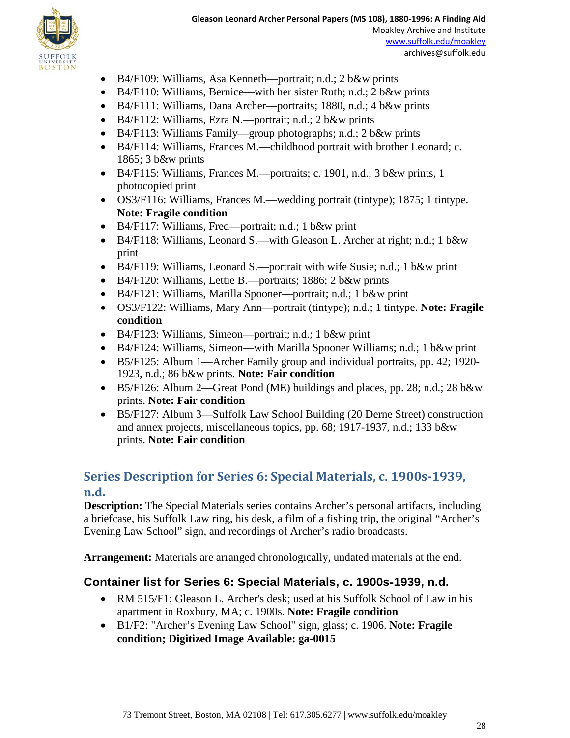

- B4/F109: Williams, Asa Kenneth—portrait; n.d.; 2 b&w prints
- B4/F110: Williams, Bernice—with her sister Ruth; n.d.; 2 b&w prints
- B4/F111: Williams, Dana Archer—portraits; 1880, n.d.; 4 b&w prints
- B4/F112: Williams, Ezra N.—portrait; n.d.; 2 b&w prints
- B4/F113: Williams Family—group photographs; n.d.; 2 b&w prints
- B4/F114: Williams, Frances M.—childhood portrait with brother Leonard; c. 1865; 3 b&w prints
- B4/F115: Williams, Frances M.—portraits; c. 1901, n.d.; 3 b&w prints, 1 photocopied print
- OS3/F116: Williams, Frances M.—wedding portrait (tintype); 1875; 1 tintype. **Note: Fragile condition**
- B4/F117: Williams, Fred—portrait; n.d.; 1 b&w print
- B4/F118: Williams, Leonard S.—with Gleason L. Archer at right; n.d.; 1 b&w print
- B4/F119: Williams, Leonard S.—portrait with wife Susie; n.d.; 1 b&w print
- B4/F120: Williams, Lettie B.—portraits; 1886; 2 b&w prints
- B4/F121: Williams, Marilla Spooner—portrait; n.d.; 1 b&w print
- OS3/F122: Williams, Mary Ann—portrait (tintype); n.d.; 1 tintype. **Note: Fragile condition**
- B4/F123: Williams, Simeon—portrait; n.d.; 1 b&w print
- B4/F124: Williams, Simeon—with Marilla Spooner Williams; n.d.; 1 b&w print
- B5/F125: Album 1—Archer Family group and individual portraits, pp. 42; 1920- 1923, n.d.; 86 b&w prints. **Note: Fair condition**
- B5/F126: Album 2—Great Pond (ME) buildings and places, pp. 28; n.d.; 28 b&w prints. **Note: Fair condition**
- B5/F127: Album 3—Suffolk Law School Building (20 Derne Street) construction and annex projects, miscellaneous topics, pp. 68; 1917-1937, n.d.; 133 b&w prints. **Note: Fair condition**

## **Series Description for Series 6: Special Materials, c. 1900s-1939, n.d.**

**Description:** The Special Materials series contains Archer's personal artifacts, including a briefcase, his Suffolk Law ring, his desk, a film of a fishing trip, the original "Archer's Evening Law School" sign, and recordings of Archer's radio broadcasts.

**Arrangement:** Materials are arranged chronologically, undated materials at the end.

### **Container list for Series 6: Special Materials, c. 1900s-1939, n.d.**

- RM 515/F1: Gleason L. Archer's desk; used at his Suffolk School of Law in his apartment in Roxbury, MA; c. 1900s. **Note: Fragile condition**
- B1/F2: "Archer's Evening Law School" sign, glass; c. 1906. **Note: Fragile condition; Digitized Image Available: ga-0015**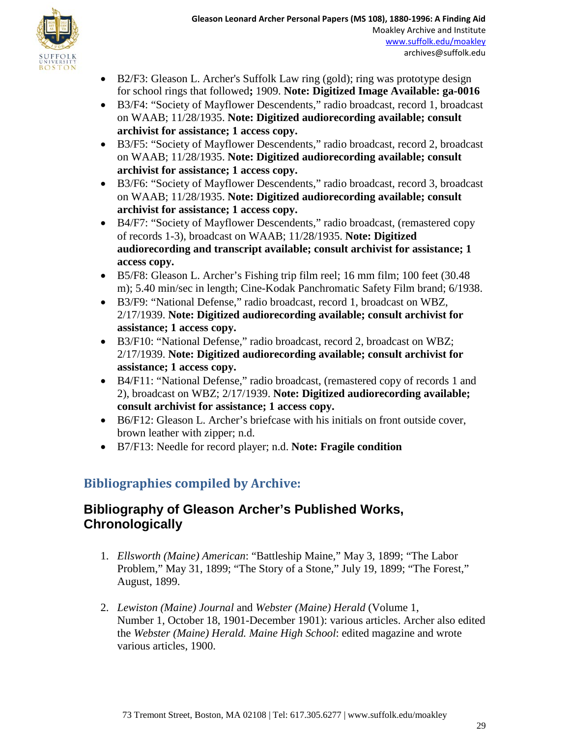

- B2/F3: Gleason L. Archer's Suffolk Law ring (gold); ring was prototype design for school rings that followed**;** 1909. **Note: Digitized Image Available: ga-0016**
- B3/F4: "Society of Mayflower Descendents," radio broadcast, record 1, broadcast on WAAB; 11/28/1935. **Note: Digitized audiorecording available; consult archivist for assistance; 1 access copy.**
- B3/F5: "Society of Mayflower Descendents," radio broadcast, record 2, broadcast on WAAB; 11/28/1935. **Note: Digitized audiorecording available; consult archivist for assistance; 1 access copy.**
- B3/F6: "Society of Mayflower Descendents," radio broadcast, record 3, broadcast on WAAB; 11/28/1935. **Note: Digitized audiorecording available; consult archivist for assistance; 1 access copy.**
- B4/F7: "Society of Mayflower Descendents," radio broadcast, (remastered copy of records 1-3), broadcast on WAAB; 11/28/1935. **Note: Digitized audiorecording and transcript available; consult archivist for assistance; 1 access copy.**
- B5/F8: Gleason L. Archer's Fishing trip film reel; 16 mm film; 100 feet (30.48 m); 5.40 min/sec in length; Cine-Kodak Panchromatic Safety Film brand; 6/1938.
- B3/F9: "National Defense," radio broadcast, record 1, broadcast on WBZ, 2/17/1939. **Note: Digitized audiorecording available; consult archivist for assistance; 1 access copy.**
- B3/F10: "National Defense," radio broadcast, record 2, broadcast on WBZ; 2/17/1939. **Note: Digitized audiorecording available; consult archivist for assistance; 1 access copy.**
- B4/F11: "National Defense," radio broadcast, (remastered copy of records 1 and 2), broadcast on WBZ; 2/17/1939. **Note: Digitized audiorecording available; consult archivist for assistance; 1 access copy.**
- B6/F12: Gleason L. Archer's briefcase with his initials on front outside cover, brown leather with zipper; n.d.
- B7/F13: Needle for record player; n.d. **Note: Fragile condition**

# **Bibliographies compiled by Archive:**

## **Bibliography of Gleason Archer's Published Works, Chronologically**

- 1. *Ellsworth (Maine) American*: "Battleship Maine," May 3, 1899; "The Labor Problem," May 31, 1899; "The Story of a Stone," July 19, 1899; "The Forest," August, 1899.
- 2. *Lewiston (Maine) Journal* and *Webster (Maine) Herald* (Volume 1, Number 1, October 18, 1901-December 1901): various articles. Archer also edited the *Webster (Maine) Herald. Maine High School*: edited magazine and wrote various articles, 1900.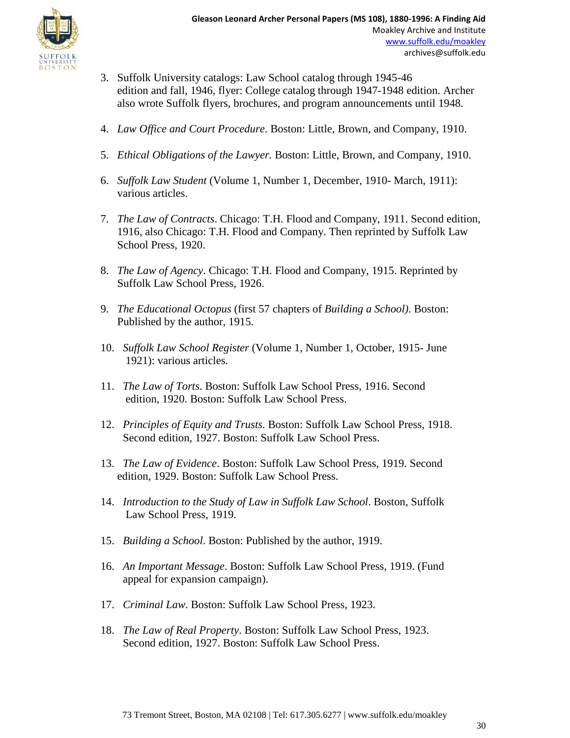

- 3. Suffolk University catalogs: Law School catalog through 1945-46 edition and fall, 1946, flyer: College catalog through 1947-1948 edition. Archer also wrote Suffolk flyers, brochures, and program announcements until 1948.
- 4. *Law Office and Court Procedure*. Boston: Little, Brown, and Company, 1910.
- 5. *Ethical Obligations of the Lawyer.* Boston: Little, Brown, and Company, 1910.
- 6. *Suffolk Law Student* (Volume 1, Number 1, December, 1910- March, 1911): various articles.
- 7. *The Law of Contracts*. Chicago: T.H. Flood and Company, 1911. Second edition, 1916, also Chicago: T.H. Flood and Company. Then reprinted by Suffolk Law School Press, 1920.
- 8. *The Law of Agency*. Chicago: T.H. Flood and Company, 1915. Reprinted by Suffolk Law School Press, 1926.
- 9. *The Educational Octopus* (first 57 chapters of *Building a School)*. Boston: Published by the author, 1915.
- 10. *Suffolk Law School Register* (Volume 1, Number 1, October, 1915- June 1921): various articles.
- 11. *The Law of Torts*. Boston: Suffolk Law School Press, 1916. Second edition, 1920. Boston: Suffolk Law School Press.
- 12. *Principles of Equity and Trusts.* Boston: Suffolk Law School Press, 1918. Second edition, 1927. Boston: Suffolk Law School Press.
- 13. *The Law of Evidence*. Boston: Suffolk Law School Press, 1919. Second edition, 1929. Boston: Suffolk Law School Press.
- 14. *Introduction to the Study of Law in Suffolk Law School*. Boston, Suffolk Law School Press, 1919.
- 15. *Building a School*. Boston: Published by the author, 1919.
- 16. *An Important Message*. Boston: Suffolk Law School Press, 1919. (Fund appeal for expansion campaign).
- 17. *Criminal Law*. Boston: Suffolk Law School Press, 1923.
- 18. *The Law of Real Property*. Boston: Suffolk Law School Press, 1923. Second edition, 1927. Boston: Suffolk Law School Press.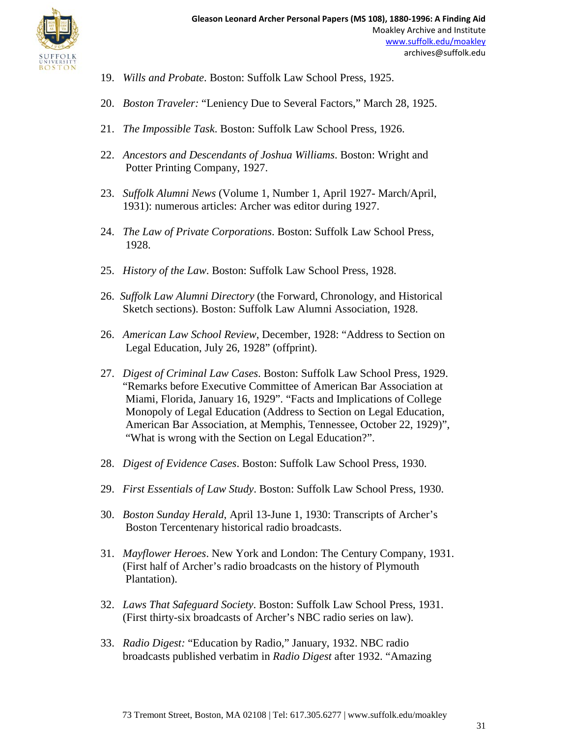

- 19. *Wills and Probate*. Boston: Suffolk Law School Press, 1925.
- 20. *Boston Traveler:* "Leniency Due to Several Factors," March 28, 1925.
- 21. *The Impossible Task*. Boston: Suffolk Law School Press, 1926.
- 22. *Ancestors and Descendants of Joshua Williams*. Boston: Wright and Potter Printing Company, 1927.
- 23. *Suffolk Alumni News* (Volume 1, Number 1, April 1927- March/April, 1931): numerous articles: Archer was editor during 1927.
- 24. *The Law of Private Corporations*. Boston: Suffolk Law School Press, 1928.
- 25. *History of the Law*. Boston: Suffolk Law School Press, 1928.
- 26. *Suffolk Law Alumni Directory* (the Forward, Chronology, and Historical Sketch sections). Boston: Suffolk Law Alumni Association, 1928.
- 26. *American Law School Review*, December, 1928: "Address to Section on Legal Education, July 26, 1928" (offprint).
- 27. *Digest of Criminal Law Cases*. Boston: Suffolk Law School Press, 1929. "Remarks before Executive Committee of American Bar Association at Miami, Florida, January 16, 1929". "Facts and Implications of College Monopoly of Legal Education (Address to Section on Legal Education, American Bar Association, at Memphis, Tennessee, October 22, 1929)", "What is wrong with the Section on Legal Education?".
- 28. *Digest of Evidence Cases*. Boston: Suffolk Law School Press, 1930.
- 29. *First Essentials of Law Study*. Boston: Suffolk Law School Press, 1930.
- 30. *Boston Sunday Herald*, April 13-June 1, 1930: Transcripts of Archer's Boston Tercentenary historical radio broadcasts.
- 31. *Mayflower Heroes*. New York and London: The Century Company, 1931. (First half of Archer's radio broadcasts on the history of Plymouth Plantation).
- 32. *Laws That Safeguard Society*. Boston: Suffolk Law School Press, 1931. (First thirty-six broadcasts of Archer's NBC radio series on law).
- 33. *Radio Digest:* "Education by Radio," January, 1932. NBC radio broadcasts published verbatim in *Radio Digest* after 1932. "Amazing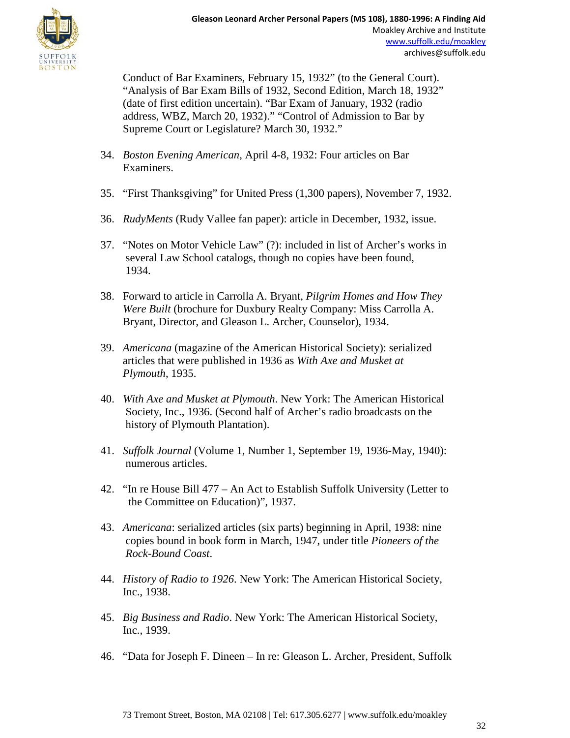

 Conduct of Bar Examiners, February 15, 1932" (to the General Court). "Analysis of Bar Exam Bills of 1932, Second Edition, March 18, 1932" (date of first edition uncertain). "Bar Exam of January, 1932 (radio address, WBZ, March 20, 1932)." "Control of Admission to Bar by Supreme Court or Legislature? March 30, 1932."

- 34. *Boston Evening American*, April 4-8, 1932: Four articles on Bar Examiners.
- 35. "First Thanksgiving" for United Press (1,300 papers), November 7, 1932.
- 36. *RudyMents* (Rudy Vallee fan paper): article in December, 1932, issue.
- 37. "Notes on Motor Vehicle Law" (?): included in list of Archer's works in several Law School catalogs, though no copies have been found, 1934.
- 38. Forward to article in Carrolla A. Bryant, *Pilgrim Homes and How They Were Built* (brochure for Duxbury Realty Company: Miss Carrolla A. Bryant, Director, and Gleason L. Archer, Counselor), 1934.
- 39. *Americana* (magazine of the American Historical Society): serialized articles that were published in 1936 as *With Axe and Musket at Plymouth*, 1935.
- 40. *With Axe and Musket at Plymouth*. New York: The American Historical Society, Inc., 1936. (Second half of Archer's radio broadcasts on the history of Plymouth Plantation).
- 41. *Suffolk Journal* (Volume 1, Number 1, September 19, 1936-May, 1940): numerous articles.
- 42. "In re House Bill 477 An Act to Establish Suffolk University (Letter to the Committee on Education)", 1937.
- 43. *Americana*: serialized articles (six parts) beginning in April, 1938: nine copies bound in book form in March, 1947, under title *Pioneers of the Rock-Bound Coast*.
- 44. *History of Radio to 1926*. New York: The American Historical Society, Inc., 1938.
- 45. *Big Business and Radio*. New York: The American Historical Society, Inc., 1939.
- 46. "Data for Joseph F. Dineen In re: Gleason L. Archer, President, Suffolk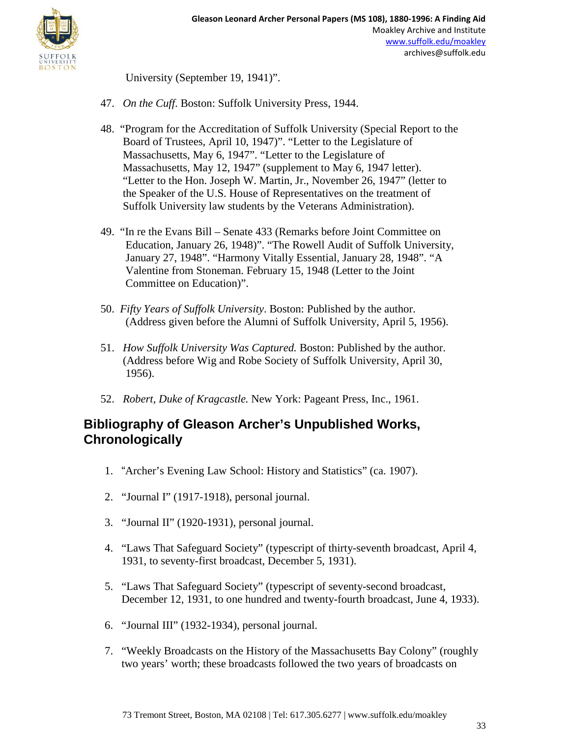

University (September 19, 1941)".

- 47. *On the Cuff*. Boston: Suffolk University Press, 1944.
- 48. "Program for the Accreditation of Suffolk University (Special Report to the Board of Trustees, April 10, 1947)". "Letter to the Legislature of Massachusetts, May 6, 1947". "Letter to the Legislature of Massachusetts, May 12, 1947" (supplement to May 6, 1947 letter). "Letter to the Hon. Joseph W. Martin, Jr., November 26, 1947" (letter to the Speaker of the U.S. House of Representatives on the treatment of Suffolk University law students by the Veterans Administration).
- 49. "In re the Evans Bill Senate 433 (Remarks before Joint Committee on Education, January 26, 1948)". "The Rowell Audit of Suffolk University, January 27, 1948". "Harmony Vitally Essential, January 28, 1948". "A Valentine from Stoneman. February 15, 1948 (Letter to the Joint Committee on Education)".
- 50. *Fifty Years of Suffolk University*. Boston: Published by the author. (Address given before the Alumni of Suffolk University, April 5, 1956).
- 51. *How Suffolk University Was Captured.* Boston: Published by the author. (Address before Wig and Robe Society of Suffolk University, April 30, 1956).
- 52. *Robert, Duke of Kragcastle.* New York: Pageant Press, Inc., 1961.

## **Bibliography of Gleason Archer's Unpublished Works, Chronologically**

- 1. "Archer's Evening Law School: History and Statistics" (ca. 1907).
- 2. "Journal I" (1917-1918), personal journal.
- 3. "Journal II" (1920-1931), personal journal.
- 4. "Laws That Safeguard Society" (typescript of thirty-seventh broadcast, April 4, 1931, to seventy-first broadcast, December 5, 1931).
- 5. "Laws That Safeguard Society" (typescript of seventy-second broadcast, December 12, 1931, to one hundred and twenty-fourth broadcast, June 4, 1933).
- 6. "Journal III" (1932-1934), personal journal.
- 7. "Weekly Broadcasts on the History of the Massachusetts Bay Colony" (roughly two years' worth; these broadcasts followed the two years of broadcasts on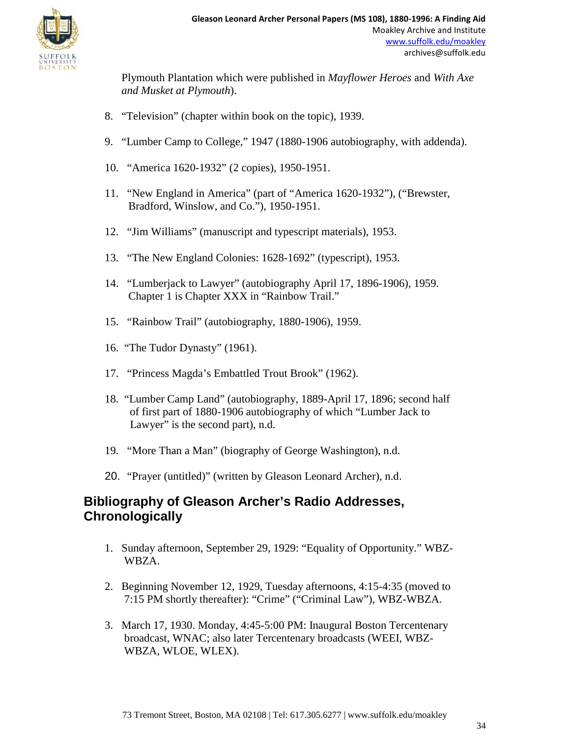

Plymouth Plantation which were published in *Mayflower Heroes* and *With Axe and Musket at Plymouth*).

- 8. "Television" (chapter within book on the topic), 1939.
- 9. "Lumber Camp to College," 1947 (1880-1906 autobiography, with addenda).
- 10. "America 1620-1932" (2 copies), 1950-1951.
- 11. "New England in America" (part of "America 1620-1932"), ("Brewster, Bradford, Winslow, and Co."), 1950-1951.
- 12. "Jim Williams" (manuscript and typescript materials), 1953.
- 13. "The New England Colonies: 1628-1692" (typescript), 1953.
- 14. "Lumberjack to Lawyer" (autobiography April 17, 1896-1906), 1959. Chapter 1 is Chapter XXX in "Rainbow Trail."
- 15. "Rainbow Trail" (autobiography, 1880-1906), 1959.
- 16. "The Tudor Dynasty" (1961).
- 17. "Princess Magda's Embattled Trout Brook" (1962).
- 18. "Lumber Camp Land" (autobiography, 1889-April 17, 1896; second half of first part of 1880-1906 autobiography of which "Lumber Jack to Lawyer" is the second part), n.d.
- 19. "More Than a Man" (biography of George Washington), n.d.
- 20. "Prayer (untitled)" (written by Gleason Leonard Archer), n.d.

## **Bibliography of Gleason Archer's Radio Addresses, Chronologically**

- 1. Sunday afternoon, September 29, 1929: "Equality of Opportunity." WBZ-WBZA.
- 2. Beginning November 12, 1929, Tuesday afternoons, 4:15-4:35 (moved to 7:15 PM shortly thereafter): "Crime" ("Criminal Law"), WBZ-WBZA.
- 3. March 17, 1930. Monday, 4:45-5:00 PM: Inaugural Boston Tercentenary broadcast, WNAC; also later Tercentenary broadcasts (WEEI, WBZ-WBZA, WLOE, WLEX).